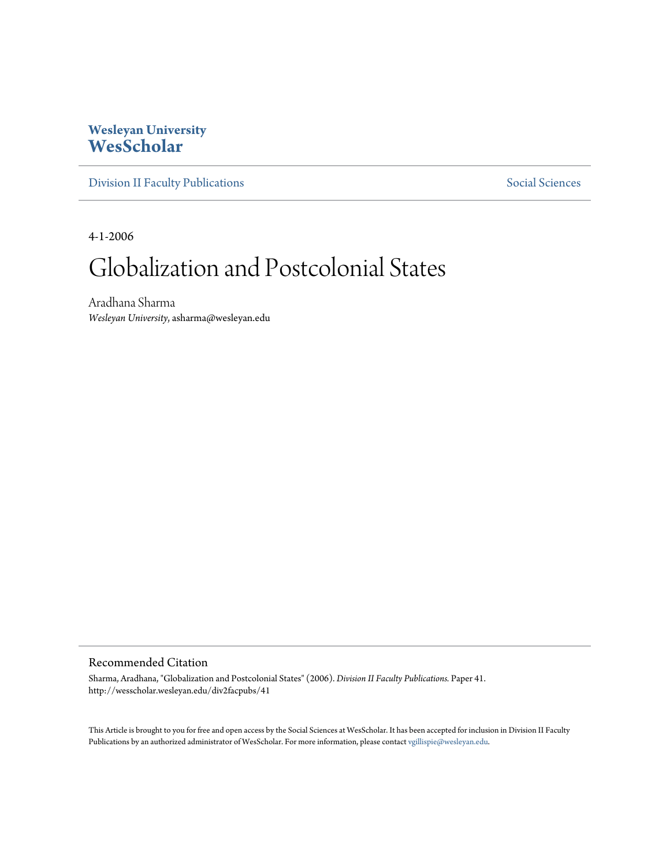# **Wesleyan University [WesScholar](http://wesscholar.wesleyan.edu)**

**[Division II Faculty Publications](http://wesscholar.wesleyan.edu/div2facpubs) [Social Sciences](http://wesscholar.wesleyan.edu/div2)** Social Sciences

4-1-2006

# Globalization and Postcolonial States

Aradhana Sharma *Wesleyan University*, asharma@wesleyan.edu

### Recommended Citation

Sharma, Aradhana, "Globalization and Postcolonial States" (2006). *Division II Faculty Publications.* Paper 41. http://wesscholar.wesleyan.edu/div2facpubs/41

This Article is brought to you for free and open access by the Social Sciences at WesScholar. It has been accepted for inclusion in Division II Faculty Publications by an authorized administrator of WesScholar. For more information, please contact [vgillispie@wesleyan.edu](mailto:vgillispie@wesleyan.edu).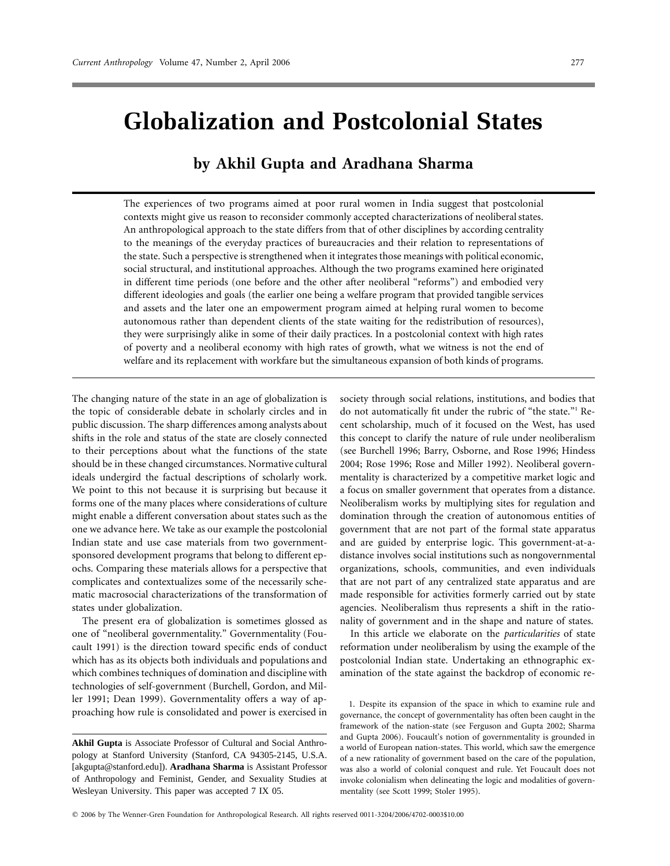# **Globalization and Postcolonial States**

**by Akhil Gupta and Aradhana Sharma**

The experiences of two programs aimed at poor rural women in India suggest that postcolonial contexts might give us reason to reconsider commonly accepted characterizations of neoliberal states. An anthropological approach to the state differs from that of other disciplines by according centrality to the meanings of the everyday practices of bureaucracies and their relation to representations of the state. Such a perspective is strengthened when it integrates those meanings with political economic, social structural, and institutional approaches. Although the two programs examined here originated in different time periods (one before and the other after neoliberal "reforms") and embodied very different ideologies and goals (the earlier one being a welfare program that provided tangible services and assets and the later one an empowerment program aimed at helping rural women to become autonomous rather than dependent clients of the state waiting for the redistribution of resources), they were surprisingly alike in some of their daily practices. In a postcolonial context with high rates of poverty and a neoliberal economy with high rates of growth, what we witness is not the end of welfare and its replacement with workfare but the simultaneous expansion of both kinds of programs.

The changing nature of the state in an age of globalization is the topic of considerable debate in scholarly circles and in public discussion. The sharp differences among analysts about shifts in the role and status of the state are closely connected to their perceptions about what the functions of the state should be in these changed circumstances. Normative cultural ideals undergird the factual descriptions of scholarly work. We point to this not because it is surprising but because it forms one of the many places where considerations of culture might enable a different conversation about states such as the one we advance here. We take as our example the postcolonial Indian state and use case materials from two governmentsponsored development programs that belong to different epochs. Comparing these materials allows for a perspective that complicates and contextualizes some of the necessarily schematic macrosocial characterizations of the transformation of states under globalization.

The present era of globalization is sometimes glossed as one of "neoliberal governmentality." Governmentality (Foucault 1991) is the direction toward specific ends of conduct which has as its objects both individuals and populations and which combines techniques of domination and discipline with technologies of self-government (Burchell, Gordon, and Miller 1991; Dean 1999). Governmentality offers a way of approaching how rule is consolidated and power is exercised in society through social relations, institutions, and bodies that do not automatically fit under the rubric of "the state."<sup>1</sup> Recent scholarship, much of it focused on the West, has used this concept to clarify the nature of rule under neoliberalism (see Burchell 1996; Barry, Osborne, and Rose 1996; Hindess 2004; Rose 1996; Rose and Miller 1992). Neoliberal governmentality is characterized by a competitive market logic and a focus on smaller government that operates from a distance. Neoliberalism works by multiplying sites for regulation and domination through the creation of autonomous entities of government that are not part of the formal state apparatus and are guided by enterprise logic. This government-at-adistance involves social institutions such as nongovernmental organizations, schools, communities, and even individuals that are not part of any centralized state apparatus and are made responsible for activities formerly carried out by state agencies. Neoliberalism thus represents a shift in the rationality of government and in the shape and nature of states.

In this article we elaborate on the *particularities* of state reformation under neoliberalism by using the example of the postcolonial Indian state. Undertaking an ethnographic examination of the state against the backdrop of economic re-

2006 by The Wenner-Gren Foundation for Anthropological Research. All rights reserved 0011-3204/2006/4702-0003\$10.00

**Akhil Gupta** is Associate Professor of Cultural and Social Anthropology at Stanford University (Stanford, CA 94305-2145, U.S.A. [akgupta@stanford.edu]). **Aradhana Sharma** is Assistant Professor of Anthropology and Feminist, Gender, and Sexuality Studies at Wesleyan University. This paper was accepted 7 IX 05.

<sup>1.</sup> Despite its expansion of the space in which to examine rule and governance, the concept of governmentality has often been caught in the framework of the nation-state (see Ferguson and Gupta 2002; Sharma and Gupta 2006). Foucault's notion of governmentality is grounded in a world of European nation-states. This world, which saw the emergence of a new rationality of government based on the care of the population, was also a world of colonial conquest and rule. Yet Foucault does not invoke colonialism when delineating the logic and modalities of governmentality (see Scott 1999; Stoler 1995).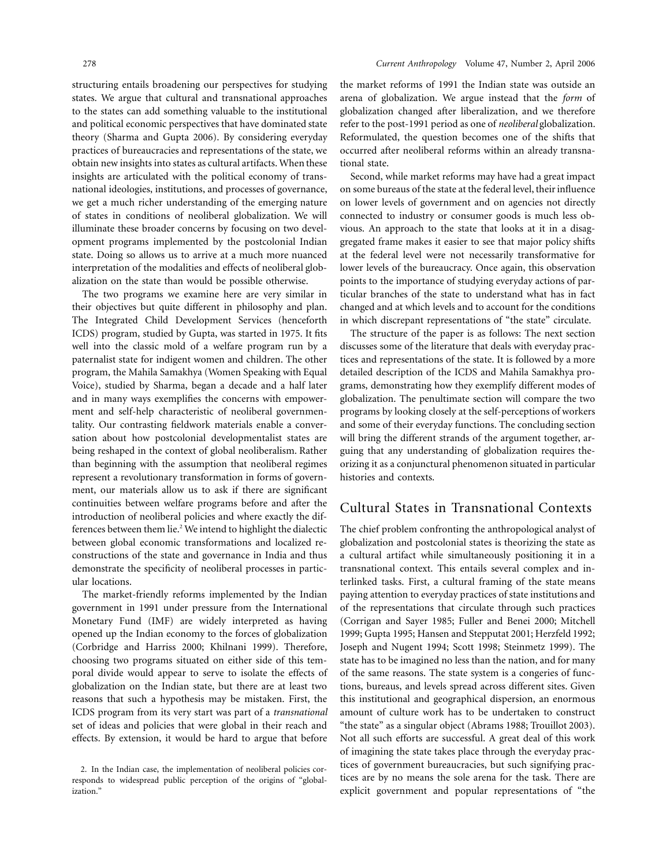structuring entails broadening our perspectives for studying states. We argue that cultural and transnational approaches to the states can add something valuable to the institutional and political economic perspectives that have dominated state theory (Sharma and Gupta 2006). By considering everyday practices of bureaucracies and representations of the state, we obtain new insights into states as cultural artifacts. When these insights are articulated with the political economy of transnational ideologies, institutions, and processes of governance, we get a much richer understanding of the emerging nature of states in conditions of neoliberal globalization. We will illuminate these broader concerns by focusing on two development programs implemented by the postcolonial Indian state. Doing so allows us to arrive at a much more nuanced interpretation of the modalities and effects of neoliberal globalization on the state than would be possible otherwise.

The two programs we examine here are very similar in their objectives but quite different in philosophy and plan. The Integrated Child Development Services (henceforth ICDS) program, studied by Gupta, was started in 1975. It fits well into the classic mold of a welfare program run by a paternalist state for indigent women and children. The other program, the Mahila Samakhya (Women Speaking with Equal Voice), studied by Sharma, began a decade and a half later and in many ways exemplifies the concerns with empowerment and self-help characteristic of neoliberal governmentality. Our contrasting fieldwork materials enable a conversation about how postcolonial developmentalist states are being reshaped in the context of global neoliberalism. Rather than beginning with the assumption that neoliberal regimes represent a revolutionary transformation in forms of government, our materials allow us to ask if there are significant continuities between welfare programs before and after the introduction of neoliberal policies and where exactly the differences between them lie.<sup>2</sup> We intend to highlight the dialectic between global economic transformations and localized reconstructions of the state and governance in India and thus demonstrate the specificity of neoliberal processes in particular locations.

The market-friendly reforms implemented by the Indian government in 1991 under pressure from the International Monetary Fund (IMF) are widely interpreted as having opened up the Indian economy to the forces of globalization (Corbridge and Harriss 2000; Khilnani 1999). Therefore, choosing two programs situated on either side of this temporal divide would appear to serve to isolate the effects of globalization on the Indian state, but there are at least two reasons that such a hypothesis may be mistaken. First, the ICDS program from its very start was part of a *transnational* set of ideas and policies that were global in their reach and effects. By extension, it would be hard to argue that before the market reforms of 1991 the Indian state was outside an arena of globalization. We argue instead that the *form* of globalization changed after liberalization, and we therefore refer to the post-1991 period as one of *neoliberal* globalization. Reformulated, the question becomes one of the shifts that occurred after neoliberal reforms within an already transnational state.

Second, while market reforms may have had a great impact on some bureaus of the state at the federal level, their influence on lower levels of government and on agencies not directly connected to industry or consumer goods is much less obvious. An approach to the state that looks at it in a disaggregated frame makes it easier to see that major policy shifts at the federal level were not necessarily transformative for lower levels of the bureaucracy. Once again, this observation points to the importance of studying everyday actions of particular branches of the state to understand what has in fact changed and at which levels and to account for the conditions in which discrepant representations of "the state" circulate.

The structure of the paper is as follows: The next section discusses some of the literature that deals with everyday practices and representations of the state. It is followed by a more detailed description of the ICDS and Mahila Samakhya programs, demonstrating how they exemplify different modes of globalization. The penultimate section will compare the two programs by looking closely at the self-perceptions of workers and some of their everyday functions. The concluding section will bring the different strands of the argument together, arguing that any understanding of globalization requires theorizing it as a conjunctural phenomenon situated in particular histories and contexts.

## Cultural States in Transnational Contexts

The chief problem confronting the anthropological analyst of globalization and postcolonial states is theorizing the state as a cultural artifact while simultaneously positioning it in a transnational context. This entails several complex and interlinked tasks. First, a cultural framing of the state means paying attention to everyday practices of state institutions and of the representations that circulate through such practices (Corrigan and Sayer 1985; Fuller and Benei 2000; Mitchell 1999; Gupta 1995; Hansen and Stepputat 2001; Herzfeld 1992; Joseph and Nugent 1994; Scott 1998; Steinmetz 1999). The state has to be imagined no less than the nation, and for many of the same reasons. The state system is a congeries of functions, bureaus, and levels spread across different sites. Given this institutional and geographical dispersion, an enormous amount of culture work has to be undertaken to construct "the state" as a singular object (Abrams 1988; Trouillot 2003). Not all such efforts are successful. A great deal of this work of imagining the state takes place through the everyday practices of government bureaucracies, but such signifying practices are by no means the sole arena for the task. There are explicit government and popular representations of "the

<sup>2.</sup> In the Indian case, the implementation of neoliberal policies corresponds to widespread public perception of the origins of "globalization."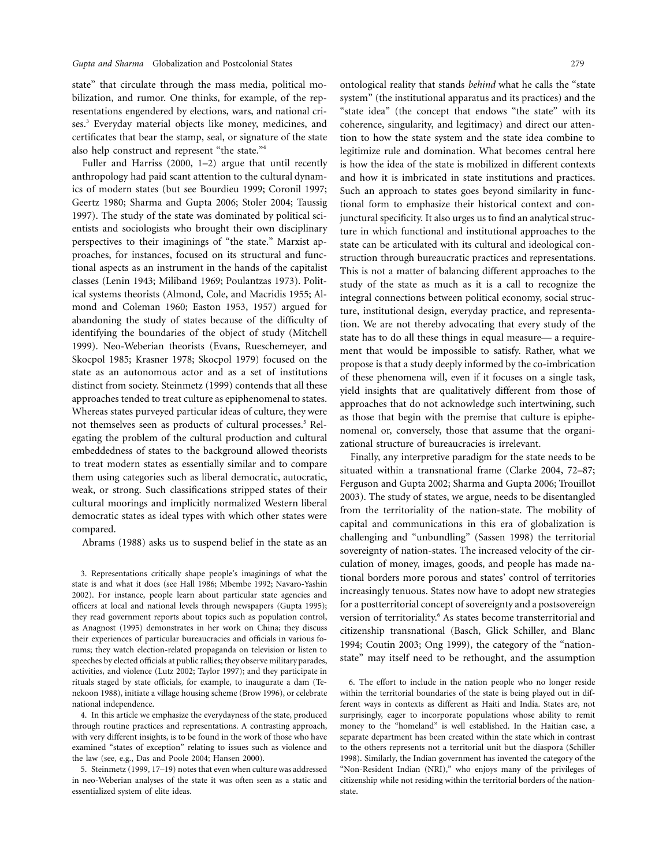state" that circulate through the mass media, political mobilization, and rumor. One thinks, for example, of the representations engendered by elections, wars, and national crises.<sup>3</sup> Everyday material objects like money, medicines, and certificates that bear the stamp, seal, or signature of the state also help construct and represent "the state."4

Fuller and Harriss (2000, 1–2) argue that until recently anthropology had paid scant attention to the cultural dynamics of modern states (but see Bourdieu 1999; Coronil 1997; Geertz 1980; Sharma and Gupta 2006; Stoler 2004; Taussig 1997). The study of the state was dominated by political scientists and sociologists who brought their own disciplinary perspectives to their imaginings of "the state." Marxist approaches, for instances, focused on its structural and functional aspects as an instrument in the hands of the capitalist classes (Lenin 1943; Miliband 1969; Poulantzas 1973). Political systems theorists (Almond, Cole, and Macridis 1955; Almond and Coleman 1960; Easton 1953, 1957) argued for abandoning the study of states because of the difficulty of identifying the boundaries of the object of study (Mitchell 1999). Neo-Weberian theorists (Evans, Rueschemeyer, and Skocpol 1985; Krasner 1978; Skocpol 1979) focused on the state as an autonomous actor and as a set of institutions distinct from society. Steinmetz (1999) contends that all these approaches tended to treat culture as epiphenomenal to states. Whereas states purveyed particular ideas of culture, they were not themselves seen as products of cultural processes.<sup>5</sup> Relegating the problem of the cultural production and cultural embeddedness of states to the background allowed theorists to treat modern states as essentially similar and to compare them using categories such as liberal democratic, autocratic, weak, or strong. Such classifications stripped states of their cultural moorings and implicitly normalized Western liberal democratic states as ideal types with which other states were compared.

Abrams (1988) asks us to suspend belief in the state as an

3. Representations critically shape people's imaginings of what the state is and what it does (see Hall 1986; Mbembe 1992; Navaro-Yashin 2002). For instance, people learn about particular state agencies and officers at local and national levels through newspapers (Gupta 1995); they read government reports about topics such as population control, as Anagnost (1995) demonstrates in her work on China; they discuss their experiences of particular bureaucracies and officials in various forums; they watch election-related propaganda on television or listen to speeches by elected officials at public rallies; they observe military parades, activities, and violence (Lutz 2002; Taylor 1997); and they participate in rituals staged by state officials, for example, to inaugurate a dam (Tenekoon 1988), initiate a village housing scheme (Brow 1996), or celebrate national independence.

4. In this article we emphasize the everydayness of the state, produced through routine practices and representations. A contrasting approach, with very different insights, is to be found in the work of those who have examined "states of exception" relating to issues such as violence and the law (see, e.g., Das and Poole 2004; Hansen 2000).

5. Steinmetz (1999, 17–19) notes that even when culture was addressed in neo-Weberian analyses of the state it was often seen as a static and essentialized system of elite ideas.

ontological reality that stands *behind* what he calls the "state system" (the institutional apparatus and its practices) and the "state idea" (the concept that endows "the state" with its coherence, singularity, and legitimacy) and direct our attention to how the state system and the state idea combine to legitimize rule and domination. What becomes central here is how the idea of the state is mobilized in different contexts and how it is imbricated in state institutions and practices. Such an approach to states goes beyond similarity in functional form to emphasize their historical context and conjunctural specificity. It also urges us to find an analytical structure in which functional and institutional approaches to the state can be articulated with its cultural and ideological construction through bureaucratic practices and representations. This is not a matter of balancing different approaches to the study of the state as much as it is a call to recognize the integral connections between political economy, social structure, institutional design, everyday practice, and representation. We are not thereby advocating that every study of the state has to do all these things in equal measure— a requirement that would be impossible to satisfy. Rather, what we propose is that a study deeply informed by the co-imbrication of these phenomena will, even if it focuses on a single task, yield insights that are qualitatively different from those of approaches that do not acknowledge such intertwining, such as those that begin with the premise that culture is epiphenomenal or, conversely, those that assume that the organizational structure of bureaucracies is irrelevant.

Finally, any interpretive paradigm for the state needs to be situated within a transnational frame (Clarke 2004, 72–87; Ferguson and Gupta 2002; Sharma and Gupta 2006; Trouillot 2003). The study of states, we argue, needs to be disentangled from the territoriality of the nation-state. The mobility of capital and communications in this era of globalization is challenging and "unbundling" (Sassen 1998) the territorial sovereignty of nation-states. The increased velocity of the circulation of money, images, goods, and people has made national borders more porous and states' control of territories increasingly tenuous. States now have to adopt new strategies for a postterritorial concept of sovereignty and a postsovereign version of territoriality.<sup>6</sup> As states become transterritorial and citizenship transnational (Basch, Glick Schiller, and Blanc 1994; Coutin 2003; Ong 1999), the category of the "nationstate" may itself need to be rethought, and the assumption

6. The effort to include in the nation people who no longer reside within the territorial boundaries of the state is being played out in different ways in contexts as different as Haiti and India. States are, not surprisingly, eager to incorporate populations whose ability to remit money to the "homeland" is well established. In the Haitian case, a separate department has been created within the state which in contrast to the others represents not a territorial unit but the diaspora (Schiller 1998). Similarly, the Indian government has invented the category of the "Non-Resident Indian (NRI)," who enjoys many of the privileges of citizenship while not residing within the territorial borders of the nationstate.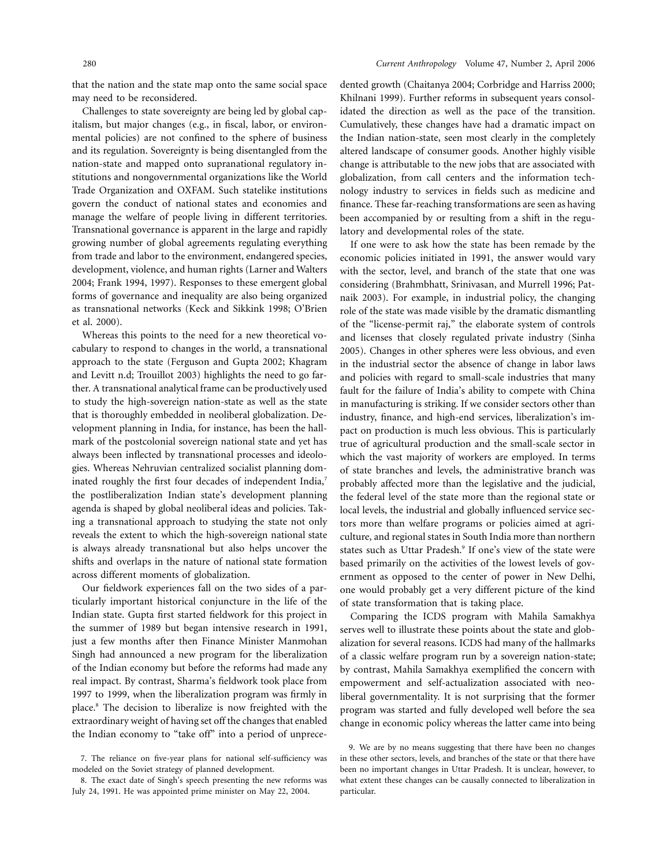that the nation and the state map onto the same social space may need to be reconsidered.

Challenges to state sovereignty are being led by global capitalism, but major changes (e.g., in fiscal, labor, or environmental policies) are not confined to the sphere of business and its regulation. Sovereignty is being disentangled from the nation-state and mapped onto supranational regulatory institutions and nongovernmental organizations like the World Trade Organization and OXFAM. Such statelike institutions govern the conduct of national states and economies and manage the welfare of people living in different territories. Transnational governance is apparent in the large and rapidly growing number of global agreements regulating everything from trade and labor to the environment, endangered species, development, violence, and human rights (Larner and Walters 2004; Frank 1994, 1997). Responses to these emergent global forms of governance and inequality are also being organized as transnational networks (Keck and Sikkink 1998; O'Brien et al. 2000).

Whereas this points to the need for a new theoretical vocabulary to respond to changes in the world, a transnational approach to the state (Ferguson and Gupta 2002; Khagram and Levitt n.d; Trouillot 2003) highlights the need to go farther. A transnational analytical frame can be productively used to study the high-sovereign nation-state as well as the state that is thoroughly embedded in neoliberal globalization. Development planning in India, for instance, has been the hallmark of the postcolonial sovereign national state and yet has always been inflected by transnational processes and ideologies. Whereas Nehruvian centralized socialist planning dominated roughly the first four decades of independent India,<sup>7</sup> the postliberalization Indian state's development planning agenda is shaped by global neoliberal ideas and policies. Taking a transnational approach to studying the state not only reveals the extent to which the high-sovereign national state is always already transnational but also helps uncover the shifts and overlaps in the nature of national state formation across different moments of globalization.

Our fieldwork experiences fall on the two sides of a particularly important historical conjuncture in the life of the Indian state. Gupta first started fieldwork for this project in the summer of 1989 but began intensive research in 1991, just a few months after then Finance Minister Manmohan Singh had announced a new program for the liberalization of the Indian economy but before the reforms had made any real impact. By contrast, Sharma's fieldwork took place from 1997 to 1999, when the liberalization program was firmly in place.8 The decision to liberalize is now freighted with the extraordinary weight of having set off the changes that enabled the Indian economy to "take off" into a period of unprecedented growth (Chaitanya 2004; Corbridge and Harriss 2000; Khilnani 1999). Further reforms in subsequent years consolidated the direction as well as the pace of the transition. Cumulatively, these changes have had a dramatic impact on the Indian nation-state, seen most clearly in the completely altered landscape of consumer goods. Another highly visible change is attributable to the new jobs that are associated with globalization, from call centers and the information technology industry to services in fields such as medicine and finance. These far-reaching transformations are seen as having been accompanied by or resulting from a shift in the regulatory and developmental roles of the state.

If one were to ask how the state has been remade by the economic policies initiated in 1991, the answer would vary with the sector, level, and branch of the state that one was considering (Brahmbhatt, Srinivasan, and Murrell 1996; Patnaik 2003). For example, in industrial policy, the changing role of the state was made visible by the dramatic dismantling of the "license-permit raj," the elaborate system of controls and licenses that closely regulated private industry (Sinha 2005). Changes in other spheres were less obvious, and even in the industrial sector the absence of change in labor laws and policies with regard to small-scale industries that many fault for the failure of India's ability to compete with China in manufacturing is striking. If we consider sectors other than industry, finance, and high-end services, liberalization's impact on production is much less obvious. This is particularly true of agricultural production and the small-scale sector in which the vast majority of workers are employed. In terms of state branches and levels, the administrative branch was probably affected more than the legislative and the judicial, the federal level of the state more than the regional state or local levels, the industrial and globally influenced service sectors more than welfare programs or policies aimed at agriculture, and regional states in South India more than northern states such as Uttar Pradesh.<sup>9</sup> If one's view of the state were based primarily on the activities of the lowest levels of government as opposed to the center of power in New Delhi, one would probably get a very different picture of the kind of state transformation that is taking place.

Comparing the ICDS program with Mahila Samakhya serves well to illustrate these points about the state and globalization for several reasons. ICDS had many of the hallmarks of a classic welfare program run by a sovereign nation-state; by contrast, Mahila Samakhya exemplified the concern with empowerment and self-actualization associated with neoliberal governmentality. It is not surprising that the former program was started and fully developed well before the sea change in economic policy whereas the latter came into being

<sup>7.</sup> The reliance on five-year plans for national self-sufficiency was modeled on the Soviet strategy of planned development.

<sup>8.</sup> The exact date of Singh's speech presenting the new reforms was July 24, 1991. He was appointed prime minister on May 22, 2004.

<sup>9.</sup> We are by no means suggesting that there have been no changes in these other sectors, levels, and branches of the state or that there have been no important changes in Uttar Pradesh. It is unclear, however, to what extent these changes can be causally connected to liberalization in particular.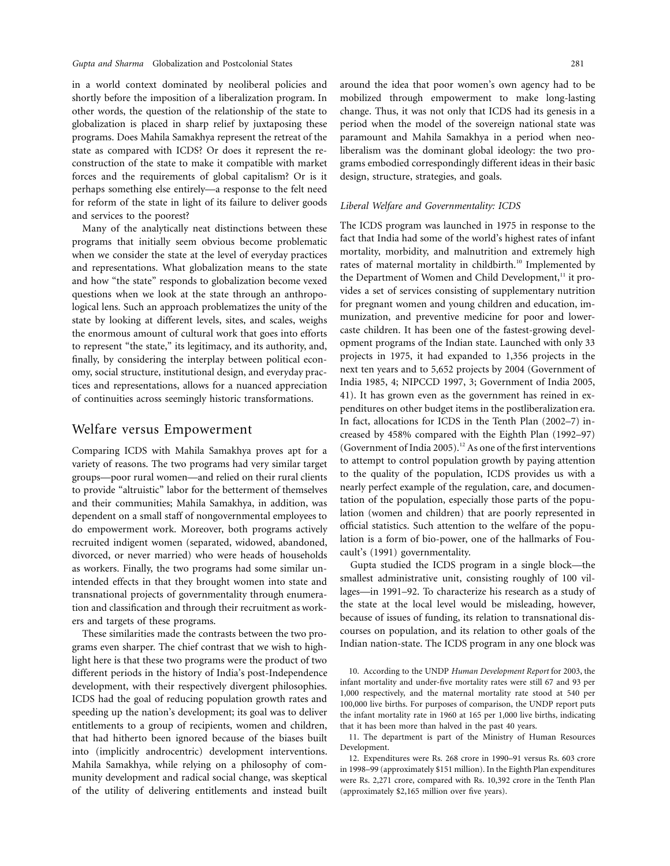in a world context dominated by neoliberal policies and shortly before the imposition of a liberalization program. In other words, the question of the relationship of the state to globalization is placed in sharp relief by juxtaposing these programs. Does Mahila Samakhya represent the retreat of the state as compared with ICDS? Or does it represent the reconstruction of the state to make it compatible with market forces and the requirements of global capitalism? Or is it perhaps something else entirely—a response to the felt need for reform of the state in light of its failure to deliver goods and services to the poorest?

Many of the analytically neat distinctions between these programs that initially seem obvious become problematic when we consider the state at the level of everyday practices and representations. What globalization means to the state and how "the state" responds to globalization become vexed questions when we look at the state through an anthropological lens. Such an approach problematizes the unity of the state by looking at different levels, sites, and scales, weighs the enormous amount of cultural work that goes into efforts to represent "the state," its legitimacy, and its authority, and, finally, by considering the interplay between political economy, social structure, institutional design, and everyday practices and representations, allows for a nuanced appreciation of continuities across seemingly historic transformations.

### Welfare versus Empowerment

Comparing ICDS with Mahila Samakhya proves apt for a variety of reasons. The two programs had very similar target groups—poor rural women—and relied on their rural clients to provide "altruistic" labor for the betterment of themselves and their communities; Mahila Samakhya, in addition, was dependent on a small staff of nongovernmental employees to do empowerment work. Moreover, both programs actively recruited indigent women (separated, widowed, abandoned, divorced, or never married) who were heads of households as workers. Finally, the two programs had some similar unintended effects in that they brought women into state and transnational projects of governmentality through enumeration and classification and through their recruitment as workers and targets of these programs.

These similarities made the contrasts between the two programs even sharper. The chief contrast that we wish to highlight here is that these two programs were the product of two different periods in the history of India's post-Independence development, with their respectively divergent philosophies. ICDS had the goal of reducing population growth rates and speeding up the nation's development; its goal was to deliver entitlements to a group of recipients, women and children, that had hitherto been ignored because of the biases built into (implicitly androcentric) development interventions. Mahila Samakhya, while relying on a philosophy of community development and radical social change, was skeptical of the utility of delivering entitlements and instead built

around the idea that poor women's own agency had to be mobilized through empowerment to make long-lasting change. Thus, it was not only that ICDS had its genesis in a period when the model of the sovereign national state was paramount and Mahila Samakhya in a period when neoliberalism was the dominant global ideology: the two programs embodied correspondingly different ideas in their basic design, structure, strategies, and goals.

### *Liberal Welfare and Governmentality: ICDS*

The ICDS program was launched in 1975 in response to the fact that India had some of the world's highest rates of infant mortality, morbidity, and malnutrition and extremely high rates of maternal mortality in childbirth.<sup>10</sup> Implemented by the Department of Women and Child Development,<sup>11</sup> it provides a set of services consisting of supplementary nutrition for pregnant women and young children and education, immunization, and preventive medicine for poor and lowercaste children. It has been one of the fastest-growing development programs of the Indian state. Launched with only 33 projects in 1975, it had expanded to 1,356 projects in the next ten years and to 5,652 projects by 2004 (Government of India 1985, 4; NIPCCD 1997, 3; Government of India 2005, 41). It has grown even as the government has reined in expenditures on other budget items in the postliberalization era. In fact, allocations for ICDS in the Tenth Plan (2002–7) increased by 458% compared with the Eighth Plan (1992–97) (Government of India 2005).<sup>12</sup> As one of the first interventions to attempt to control population growth by paying attention to the quality of the population, ICDS provides us with a nearly perfect example of the regulation, care, and documentation of the population, especially those parts of the population (women and children) that are poorly represented in official statistics. Such attention to the welfare of the population is a form of bio-power, one of the hallmarks of Foucault's (1991) governmentality.

Gupta studied the ICDS program in a single block—the smallest administrative unit, consisting roughly of 100 villages—in 1991–92. To characterize his research as a study of the state at the local level would be misleading, however, because of issues of funding, its relation to transnational discourses on population, and its relation to other goals of the Indian nation-state. The ICDS program in any one block was

10. According to the UNDP *Human Development Report* for 2003, the infant mortality and under-five mortality rates were still 67 and 93 per 1,000 respectively, and the maternal mortality rate stood at 540 per 100,000 live births. For purposes of comparison, the UNDP report puts the infant mortality rate in 1960 at 165 per 1,000 live births, indicating that it has been more than halved in the past 40 years.

11. The department is part of the Ministry of Human Resources Development.

12. Expenditures were Rs. 268 crore in 1990–91 versus Rs. 603 crore in 1998–99 (approximately \$151 million). In the Eighth Plan expenditures were Rs. 2,271 crore, compared with Rs. 10,392 crore in the Tenth Plan (approximately \$2,165 million over five years).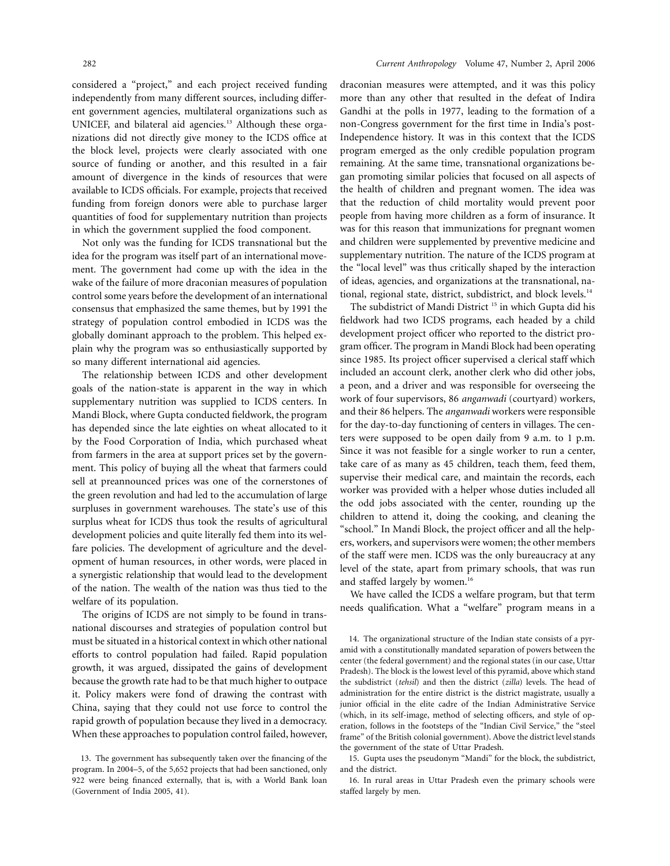considered a "project," and each project received funding independently from many different sources, including different government agencies, multilateral organizations such as UNICEF, and bilateral aid agencies.<sup>13</sup> Although these organizations did not directly give money to the ICDS office at the block level, projects were clearly associated with one source of funding or another, and this resulted in a fair amount of divergence in the kinds of resources that were available to ICDS officials. For example, projects that received funding from foreign donors were able to purchase larger quantities of food for supplementary nutrition than projects in which the government supplied the food component.

Not only was the funding for ICDS transnational but the idea for the program was itself part of an international movement. The government had come up with the idea in the wake of the failure of more draconian measures of population control some years before the development of an international consensus that emphasized the same themes, but by 1991 the strategy of population control embodied in ICDS was the globally dominant approach to the problem. This helped explain why the program was so enthusiastically supported by so many different international aid agencies.

The relationship between ICDS and other development goals of the nation-state is apparent in the way in which supplementary nutrition was supplied to ICDS centers. In Mandi Block, where Gupta conducted fieldwork, the program has depended since the late eighties on wheat allocated to it by the Food Corporation of India, which purchased wheat from farmers in the area at support prices set by the government. This policy of buying all the wheat that farmers could sell at preannounced prices was one of the cornerstones of the green revolution and had led to the accumulation of large surpluses in government warehouses. The state's use of this surplus wheat for ICDS thus took the results of agricultural development policies and quite literally fed them into its welfare policies. The development of agriculture and the development of human resources, in other words, were placed in a synergistic relationship that would lead to the development of the nation. The wealth of the nation was thus tied to the welfare of its population.

The origins of ICDS are not simply to be found in transnational discourses and strategies of population control but must be situated in a historical context in which other national efforts to control population had failed. Rapid population growth, it was argued, dissipated the gains of development because the growth rate had to be that much higher to outpace it. Policy makers were fond of drawing the contrast with China, saying that they could not use force to control the rapid growth of population because they lived in a democracy. When these approaches to population control failed, however, draconian measures were attempted, and it was this policy more than any other that resulted in the defeat of Indira Gandhi at the polls in 1977, leading to the formation of a non-Congress government for the first time in India's post-Independence history. It was in this context that the ICDS program emerged as the only credible population program remaining. At the same time, transnational organizations began promoting similar policies that focused on all aspects of the health of children and pregnant women. The idea was that the reduction of child mortality would prevent poor people from having more children as a form of insurance. It was for this reason that immunizations for pregnant women and children were supplemented by preventive medicine and supplementary nutrition. The nature of the ICDS program at the "local level" was thus critically shaped by the interaction of ideas, agencies, and organizations at the transnational, national, regional state, district, subdistrict, and block levels.<sup>14</sup>

The subdistrict of Mandi District<sup>15</sup> in which Gupta did his fieldwork had two ICDS programs, each headed by a child development project officer who reported to the district program officer. The program in Mandi Block had been operating since 1985. Its project officer supervised a clerical staff which included an account clerk, another clerk who did other jobs, a peon, and a driver and was responsible for overseeing the work of four supervisors, 86 *anganwadi* (courtyard) workers, and their 86 helpers. The *anganwadi* workers were responsible for the day-to-day functioning of centers in villages. The centers were supposed to be open daily from 9 a.m. to 1 p.m. Since it was not feasible for a single worker to run a center, take care of as many as 45 children, teach them, feed them, supervise their medical care, and maintain the records, each worker was provided with a helper whose duties included all the odd jobs associated with the center, rounding up the children to attend it, doing the cooking, and cleaning the "school." In Mandi Block, the project officer and all the helpers, workers, and supervisors were women; the other members of the staff were men. ICDS was the only bureaucracy at any level of the state, apart from primary schools, that was run and staffed largely by women.<sup>16</sup>

We have called the ICDS a welfare program, but that term needs qualification. What a "welfare" program means in a

15. Gupta uses the pseudonym "Mandi" for the block, the subdistrict, and the district.

16. In rural areas in Uttar Pradesh even the primary schools were staffed largely by men.

<sup>13.</sup> The government has subsequently taken over the financing of the program. In 2004–5, of the 5,652 projects that had been sanctioned, only 922 were being financed externally, that is, with a World Bank loan (Government of India 2005, 41).

<sup>14.</sup> The organizational structure of the Indian state consists of a pyramid with a constitutionally mandated separation of powers between the center (the federal government) and the regional states (in our case, Uttar Pradesh). The block is the lowest level of this pyramid, above which stand the subdistrict (*tehsil*) and then the district (*zilla*) levels. The head of administration for the entire district is the district magistrate, usually a junior official in the elite cadre of the Indian Administrative Service (which, in its self-image, method of selecting officers, and style of operation, follows in the footsteps of the "Indian Civil Service," the "steel frame" of the British colonial government). Above the district level stands the government of the state of Uttar Pradesh.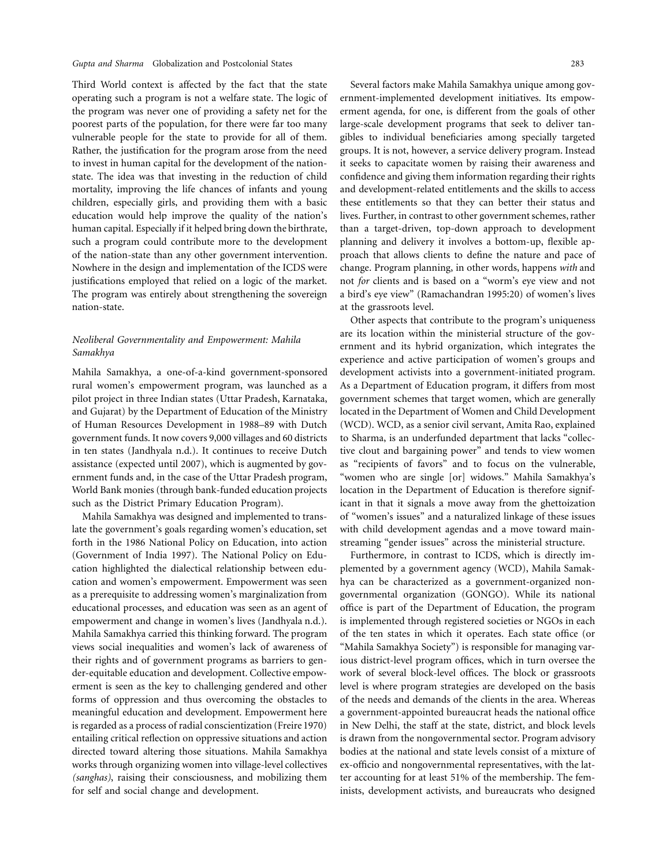*Gupta and Sharma* Globalization and Postcolonial States 283

Third World context is affected by the fact that the state operating such a program is not a welfare state. The logic of the program was never one of providing a safety net for the poorest parts of the population, for there were far too many vulnerable people for the state to provide for all of them. Rather, the justification for the program arose from the need to invest in human capital for the development of the nationstate. The idea was that investing in the reduction of child mortality, improving the life chances of infants and young children, especially girls, and providing them with a basic education would help improve the quality of the nation's human capital. Especially if it helped bring down the birthrate, such a program could contribute more to the development of the nation-state than any other government intervention. Nowhere in the design and implementation of the ICDS were justifications employed that relied on a logic of the market. The program was entirely about strengthening the sovereign nation-state.

### *Neoliberal Governmentality and Empowerment: Mahila Samakhya*

Mahila Samakhya, a one-of-a-kind government-sponsored rural women's empowerment program, was launched as a pilot project in three Indian states (Uttar Pradesh, Karnataka, and Gujarat) by the Department of Education of the Ministry of Human Resources Development in 1988–89 with Dutch government funds. It now covers 9,000 villages and 60 districts in ten states (Jandhyala n.d.). It continues to receive Dutch assistance (expected until 2007), which is augmented by government funds and, in the case of the Uttar Pradesh program, World Bank monies (through bank-funded education projects such as the District Primary Education Program).

Mahila Samakhya was designed and implemented to translate the government's goals regarding women's education, set forth in the 1986 National Policy on Education, into action (Government of India 1997). The National Policy on Education highlighted the dialectical relationship between education and women's empowerment. Empowerment was seen as a prerequisite to addressing women's marginalization from educational processes, and education was seen as an agent of empowerment and change in women's lives (Jandhyala n.d.). Mahila Samakhya carried this thinking forward. The program views social inequalities and women's lack of awareness of their rights and of government programs as barriers to gender-equitable education and development. Collective empowerment is seen as the key to challenging gendered and other forms of oppression and thus overcoming the obstacles to meaningful education and development. Empowerment here is regarded as a process of radial conscientization (Freire 1970) entailing critical reflection on oppressive situations and action directed toward altering those situations. Mahila Samakhya works through organizing women into village-level collectives *(sanghas)*, raising their consciousness, and mobilizing them for self and social change and development.

Several factors make Mahila Samakhya unique among government-implemented development initiatives. Its empowerment agenda, for one, is different from the goals of other large-scale development programs that seek to deliver tangibles to individual beneficiaries among specially targeted groups. It is not, however, a service delivery program. Instead it seeks to capacitate women by raising their awareness and confidence and giving them information regarding their rights and development-related entitlements and the skills to access these entitlements so that they can better their status and lives. Further, in contrast to other government schemes, rather than a target-driven, top-down approach to development planning and delivery it involves a bottom-up, flexible approach that allows clients to define the nature and pace of change. Program planning, in other words, happens *with* and not *for* clients and is based on a "worm's eye view and not a bird's eye view" (Ramachandran 1995:20) of women's lives

Other aspects that contribute to the program's uniqueness are its location within the ministerial structure of the government and its hybrid organization, which integrates the experience and active participation of women's groups and development activists into a government-initiated program. As a Department of Education program, it differs from most government schemes that target women, which are generally located in the Department of Women and Child Development (WCD). WCD, as a senior civil servant, Amita Rao, explained to Sharma, is an underfunded department that lacks "collective clout and bargaining power" and tends to view women as "recipients of favors" and to focus on the vulnerable, "women who are single [or] widows." Mahila Samakhya's location in the Department of Education is therefore significant in that it signals a move away from the ghettoization of "women's issues" and a naturalized linkage of these issues with child development agendas and a move toward mainstreaming "gender issues" across the ministerial structure.

at the grassroots level.

Furthermore, in contrast to ICDS, which is directly implemented by a government agency (WCD), Mahila Samakhya can be characterized as a government-organized nongovernmental organization (GONGO). While its national office is part of the Department of Education, the program is implemented through registered societies or NGOs in each of the ten states in which it operates. Each state office (or "Mahila Samakhya Society") is responsible for managing various district-level program offices, which in turn oversee the work of several block-level offices. The block or grassroots level is where program strategies are developed on the basis of the needs and demands of the clients in the area. Whereas a government-appointed bureaucrat heads the national office in New Delhi, the staff at the state, district, and block levels is drawn from the nongovernmental sector. Program advisory bodies at the national and state levels consist of a mixture of ex-officio and nongovernmental representatives, with the latter accounting for at least 51% of the membership. The feminists, development activists, and bureaucrats who designed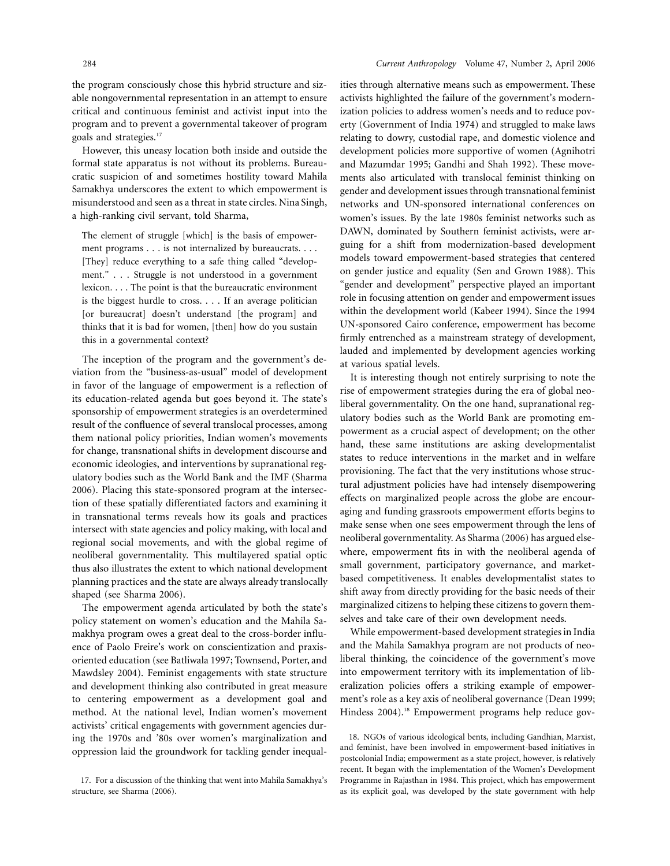the program consciously chose this hybrid structure and sizable nongovernmental representation in an attempt to ensure critical and continuous feminist and activist input into the program and to prevent a governmental takeover of program goals and strategies.<sup>17</sup>

However, this uneasy location both inside and outside the formal state apparatus is not without its problems. Bureaucratic suspicion of and sometimes hostility toward Mahila Samakhya underscores the extent to which empowerment is misunderstood and seen as a threat in state circles. Nina Singh, a high-ranking civil servant, told Sharma,

The element of struggle [which] is the basis of empowerment programs . . . is not internalized by bureaucrats. . . . [They] reduce everything to a safe thing called "development." . . . Struggle is not understood in a government lexicon. . . . The point is that the bureaucratic environment is the biggest hurdle to cross. . . . If an average politician [or bureaucrat] doesn't understand [the program] and thinks that it is bad for women, [then] how do you sustain this in a governmental context?

The inception of the program and the government's deviation from the "business-as-usual" model of development in favor of the language of empowerment is a reflection of its education-related agenda but goes beyond it. The state's sponsorship of empowerment strategies is an overdetermined result of the confluence of several translocal processes, among them national policy priorities, Indian women's movements for change, transnational shifts in development discourse and economic ideologies, and interventions by supranational regulatory bodies such as the World Bank and the IMF (Sharma 2006). Placing this state-sponsored program at the intersection of these spatially differentiated factors and examining it in transnational terms reveals how its goals and practices intersect with state agencies and policy making, with local and regional social movements, and with the global regime of neoliberal governmentality. This multilayered spatial optic thus also illustrates the extent to which national development planning practices and the state are always already translocally shaped (see Sharma 2006).

The empowerment agenda articulated by both the state's policy statement on women's education and the Mahila Samakhya program owes a great deal to the cross-border influence of Paolo Freire's work on conscientization and praxisoriented education (see Batliwala 1997; Townsend, Porter, and Mawdsley 2004). Feminist engagements with state structure and development thinking also contributed in great measure to centering empowerment as a development goal and method. At the national level, Indian women's movement activists' critical engagements with government agencies during the 1970s and '80s over women's marginalization and oppression laid the groundwork for tackling gender inequalities through alternative means such as empowerment. These activists highlighted the failure of the government's modernization policies to address women's needs and to reduce poverty (Government of India 1974) and struggled to make laws relating to dowry, custodial rape, and domestic violence and development policies more supportive of women (Agnihotri and Mazumdar 1995; Gandhi and Shah 1992). These movements also articulated with translocal feminist thinking on gender and development issues through transnational feminist networks and UN-sponsored international conferences on women's issues. By the late 1980s feminist networks such as DAWN, dominated by Southern feminist activists, were arguing for a shift from modernization-based development models toward empowerment-based strategies that centered on gender justice and equality (Sen and Grown 1988). This "gender and development" perspective played an important role in focusing attention on gender and empowerment issues within the development world (Kabeer 1994). Since the 1994 UN-sponsored Cairo conference, empowerment has become firmly entrenched as a mainstream strategy of development, lauded and implemented by development agencies working at various spatial levels.

It is interesting though not entirely surprising to note the rise of empowerment strategies during the era of global neoliberal governmentality. On the one hand, supranational regulatory bodies such as the World Bank are promoting empowerment as a crucial aspect of development; on the other hand, these same institutions are asking developmentalist states to reduce interventions in the market and in welfare provisioning. The fact that the very institutions whose structural adjustment policies have had intensely disempowering effects on marginalized people across the globe are encouraging and funding grassroots empowerment efforts begins to make sense when one sees empowerment through the lens of neoliberal governmentality. As Sharma (2006) has argued elsewhere, empowerment fits in with the neoliberal agenda of small government, participatory governance, and marketbased competitiveness. It enables developmentalist states to shift away from directly providing for the basic needs of their marginalized citizens to helping these citizens to govern themselves and take care of their own development needs.

While empowerment-based development strategies in India and the Mahila Samakhya program are not products of neoliberal thinking, the coincidence of the government's move into empowerment territory with its implementation of liberalization policies offers a striking example of empowerment's role as a key axis of neoliberal governance (Dean 1999; Hindess 2004).<sup>18</sup> Empowerment programs help reduce gov-

18. NGOs of various ideological bents, including Gandhian, Marxist, and feminist, have been involved in empowerment-based initiatives in postcolonial India; empowerment as a state project, however, is relatively recent. It began with the implementation of the Women's Development Programme in Rajasthan in 1984. This project, which has empowerment as its explicit goal, was developed by the state government with help

<sup>17.</sup> For a discussion of the thinking that went into Mahila Samakhya's structure, see Sharma (2006).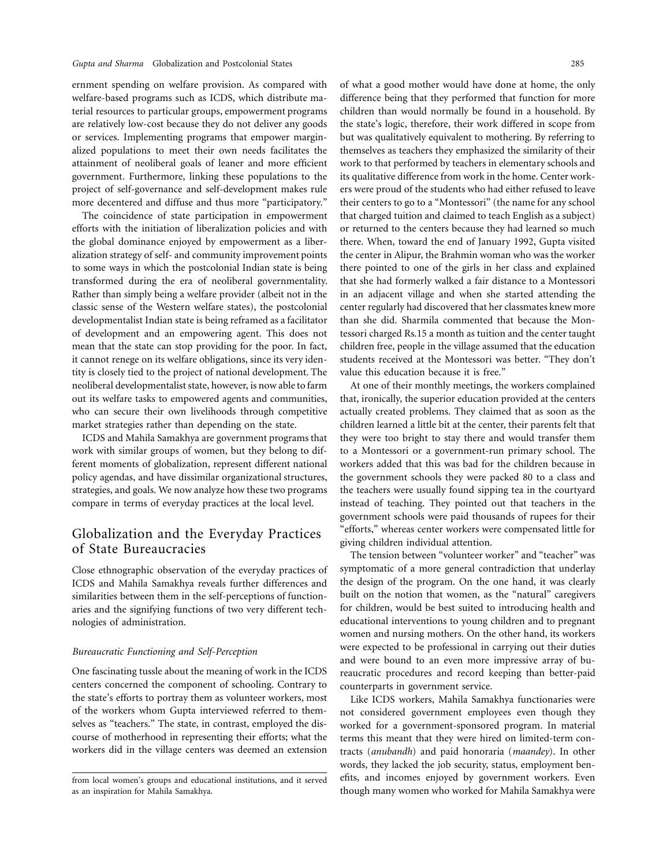ernment spending on welfare provision. As compared with welfare-based programs such as ICDS, which distribute material resources to particular groups, empowerment programs are relatively low-cost because they do not deliver any goods or services. Implementing programs that empower marginalized populations to meet their own needs facilitates the attainment of neoliberal goals of leaner and more efficient government. Furthermore, linking these populations to the project of self-governance and self-development makes rule more decentered and diffuse and thus more "participatory."

The coincidence of state participation in empowerment efforts with the initiation of liberalization policies and with the global dominance enjoyed by empowerment as a liberalization strategy of self- and community improvement points to some ways in which the postcolonial Indian state is being transformed during the era of neoliberal governmentality. Rather than simply being a welfare provider (albeit not in the classic sense of the Western welfare states), the postcolonial developmentalist Indian state is being reframed as a facilitator of development and an empowering agent. This does not mean that the state can stop providing for the poor. In fact, it cannot renege on its welfare obligations, since its very identity is closely tied to the project of national development. The neoliberal developmentalist state, however, is now able to farm out its welfare tasks to empowered agents and communities, who can secure their own livelihoods through competitive market strategies rather than depending on the state.

ICDS and Mahila Samakhya are government programs that work with similar groups of women, but they belong to different moments of globalization, represent different national policy agendas, and have dissimilar organizational structures, strategies, and goals. We now analyze how these two programs compare in terms of everyday practices at the local level.

# Globalization and the Everyday Practices of State Bureaucracies

Close ethnographic observation of the everyday practices of ICDS and Mahila Samakhya reveals further differences and similarities between them in the self-perceptions of functionaries and the signifying functions of two very different technologies of administration.

#### *Bureaucratic Functioning and Self-Perception*

One fascinating tussle about the meaning of work in the ICDS centers concerned the component of schooling. Contrary to the state's efforts to portray them as volunteer workers, most of the workers whom Gupta interviewed referred to themselves as "teachers." The state, in contrast, employed the discourse of motherhood in representing their efforts; what the workers did in the village centers was deemed an extension of what a good mother would have done at home, the only difference being that they performed that function for more children than would normally be found in a household. By the state's logic, therefore, their work differed in scope from but was qualitatively equivalent to mothering. By referring to themselves as teachers they emphasized the similarity of their work to that performed by teachers in elementary schools and its qualitative difference from work in the home. Center workers were proud of the students who had either refused to leave their centers to go to a "Montessori" (the name for any school that charged tuition and claimed to teach English as a subject) or returned to the centers because they had learned so much there. When, toward the end of January 1992, Gupta visited the center in Alipur, the Brahmin woman who was the worker there pointed to one of the girls in her class and explained that she had formerly walked a fair distance to a Montessori in an adjacent village and when she started attending the center regularly had discovered that her classmates knew more than she did. Sharmila commented that because the Montessori charged Rs.15 a month as tuition and the center taught children free, people in the village assumed that the education students received at the Montessori was better. "They don't value this education because it is free."

At one of their monthly meetings, the workers complained that, ironically, the superior education provided at the centers actually created problems. They claimed that as soon as the children learned a little bit at the center, their parents felt that they were too bright to stay there and would transfer them to a Montessori or a government-run primary school. The workers added that this was bad for the children because in the government schools they were packed 80 to a class and the teachers were usually found sipping tea in the courtyard instead of teaching. They pointed out that teachers in the government schools were paid thousands of rupees for their "efforts," whereas center workers were compensated little for giving children individual attention.

The tension between "volunteer worker" and "teacher" was symptomatic of a more general contradiction that underlay the design of the program. On the one hand, it was clearly built on the notion that women, as the "natural" caregivers for children, would be best suited to introducing health and educational interventions to young children and to pregnant women and nursing mothers. On the other hand, its workers were expected to be professional in carrying out their duties and were bound to an even more impressive array of bureaucratic procedures and record keeping than better-paid counterparts in government service.

Like ICDS workers, Mahila Samakhya functionaries were not considered government employees even though they worked for a government-sponsored program. In material terms this meant that they were hired on limited-term contracts (*anubandh*) and paid honoraria (*maandey*). In other words, they lacked the job security, status, employment benefits, and incomes enjoyed by government workers. Even though many women who worked for Mahila Samakhya were

from local women's groups and educational institutions, and it served as an inspiration for Mahila Samakhya.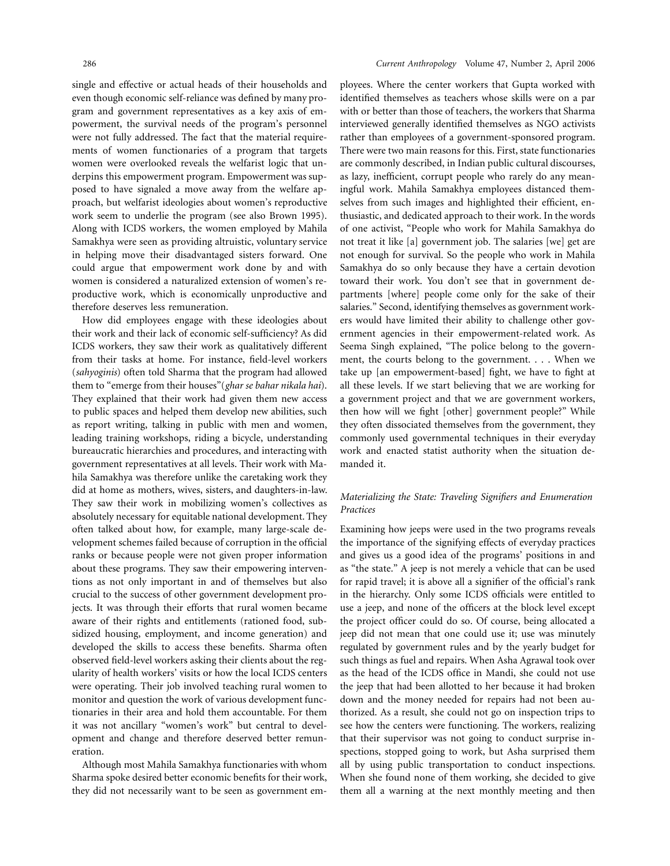single and effective or actual heads of their households and even though economic self-reliance was defined by many program and government representatives as a key axis of empowerment, the survival needs of the program's personnel were not fully addressed. The fact that the material requirements of women functionaries of a program that targets women were overlooked reveals the welfarist logic that underpins this empowerment program. Empowerment was supposed to have signaled a move away from the welfare approach, but welfarist ideologies about women's reproductive work seem to underlie the program (see also Brown 1995). Along with ICDS workers, the women employed by Mahila Samakhya were seen as providing altruistic, voluntary service in helping move their disadvantaged sisters forward. One could argue that empowerment work done by and with women is considered a naturalized extension of women's reproductive work, which is economically unproductive and therefore deserves less remuneration.

How did employees engage with these ideologies about their work and their lack of economic self-sufficiency? As did ICDS workers, they saw their work as qualitatively different from their tasks at home. For instance, field-level workers (*sahyoginis*) often told Sharma that the program had allowed them to "emerge from their houses"(*ghar se bahar nikala hai*). They explained that their work had given them new access to public spaces and helped them develop new abilities, such as report writing, talking in public with men and women, leading training workshops, riding a bicycle, understanding bureaucratic hierarchies and procedures, and interacting with government representatives at all levels. Their work with Mahila Samakhya was therefore unlike the caretaking work they did at home as mothers, wives, sisters, and daughters-in-law. They saw their work in mobilizing women's collectives as absolutely necessary for equitable national development. They often talked about how, for example, many large-scale development schemes failed because of corruption in the official ranks or because people were not given proper information about these programs. They saw their empowering interventions as not only important in and of themselves but also crucial to the success of other government development projects. It was through their efforts that rural women became aware of their rights and entitlements (rationed food, subsidized housing, employment, and income generation) and developed the skills to access these benefits. Sharma often observed field-level workers asking their clients about the regularity of health workers' visits or how the local ICDS centers were operating. Their job involved teaching rural women to monitor and question the work of various development functionaries in their area and hold them accountable. For them it was not ancillary "women's work" but central to development and change and therefore deserved better remuneration.

Although most Mahila Samakhya functionaries with whom Sharma spoke desired better economic benefits for their work, they did not necessarily want to be seen as government employees. Where the center workers that Gupta worked with identified themselves as teachers whose skills were on a par with or better than those of teachers, the workers that Sharma interviewed generally identified themselves as NGO activists rather than employees of a government-sponsored program. There were two main reasons for this. First, state functionaries are commonly described, in Indian public cultural discourses, as lazy, inefficient, corrupt people who rarely do any meaningful work. Mahila Samakhya employees distanced themselves from such images and highlighted their efficient, enthusiastic, and dedicated approach to their work. In the words of one activist, "People who work for Mahila Samakhya do not treat it like [a] government job. The salaries [we] get are not enough for survival. So the people who work in Mahila Samakhya do so only because they have a certain devotion toward their work. You don't see that in government departments [where] people come only for the sake of their salaries." Second, identifying themselves as government workers would have limited their ability to challenge other government agencies in their empowerment-related work. As Seema Singh explained, "The police belong to the government, the courts belong to the government. . . . When we take up [an empowerment-based] fight, we have to fight at all these levels. If we start believing that we are working for a government project and that we are government workers, then how will we fight [other] government people?" While they often dissociated themselves from the government, they commonly used governmental techniques in their everyday work and enacted statist authority when the situation demanded it.

### *Materializing the State: Traveling Signifiers and Enumeration Practices*

Examining how jeeps were used in the two programs reveals the importance of the signifying effects of everyday practices and gives us a good idea of the programs' positions in and as "the state." A jeep is not merely a vehicle that can be used for rapid travel; it is above all a signifier of the official's rank in the hierarchy. Only some ICDS officials were entitled to use a jeep, and none of the officers at the block level except the project officer could do so. Of course, being allocated a jeep did not mean that one could use it; use was minutely regulated by government rules and by the yearly budget for such things as fuel and repairs. When Asha Agrawal took over as the head of the ICDS office in Mandi, she could not use the jeep that had been allotted to her because it had broken down and the money needed for repairs had not been authorized. As a result, she could not go on inspection trips to see how the centers were functioning. The workers, realizing that their supervisor was not going to conduct surprise inspections, stopped going to work, but Asha surprised them all by using public transportation to conduct inspections. When she found none of them working, she decided to give them all a warning at the next monthly meeting and then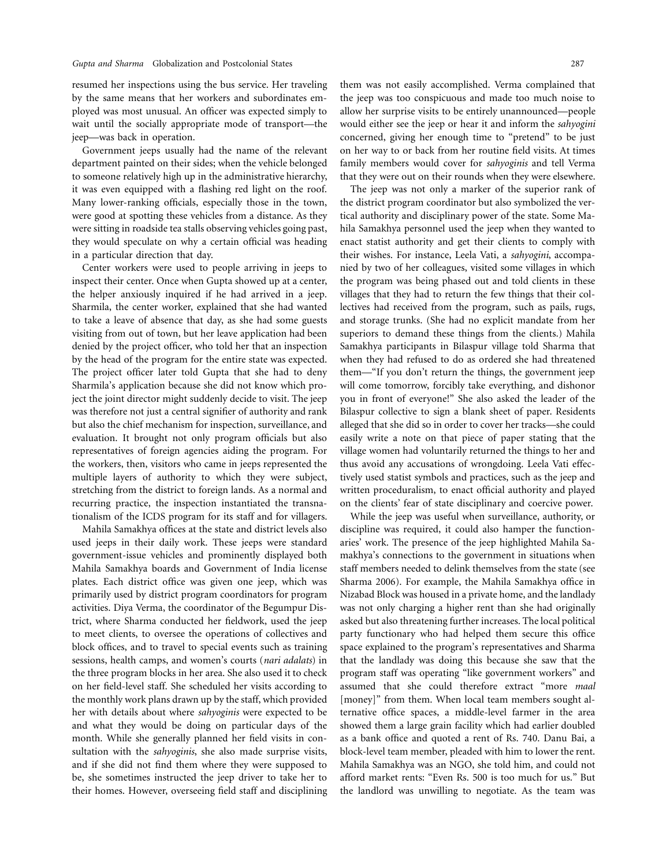resumed her inspections using the bus service. Her traveling by the same means that her workers and subordinates employed was most unusual. An officer was expected simply to wait until the socially appropriate mode of transport—the jeep—was back in operation.

Government jeeps usually had the name of the relevant department painted on their sides; when the vehicle belonged to someone relatively high up in the administrative hierarchy, it was even equipped with a flashing red light on the roof. Many lower-ranking officials, especially those in the town, were good at spotting these vehicles from a distance. As they were sitting in roadside tea stalls observing vehicles going past, they would speculate on why a certain official was heading in a particular direction that day.

Center workers were used to people arriving in jeeps to inspect their center. Once when Gupta showed up at a center, the helper anxiously inquired if he had arrived in a jeep. Sharmila, the center worker, explained that she had wanted to take a leave of absence that day, as she had some guests visiting from out of town, but her leave application had been denied by the project officer, who told her that an inspection by the head of the program for the entire state was expected. The project officer later told Gupta that she had to deny Sharmila's application because she did not know which project the joint director might suddenly decide to visit. The jeep was therefore not just a central signifier of authority and rank but also the chief mechanism for inspection, surveillance, and evaluation. It brought not only program officials but also representatives of foreign agencies aiding the program. For the workers, then, visitors who came in jeeps represented the multiple layers of authority to which they were subject, stretching from the district to foreign lands. As a normal and recurring practice, the inspection instantiated the transnationalism of the ICDS program for its staff and for villagers.

Mahila Samakhya offices at the state and district levels also used jeeps in their daily work. These jeeps were standard government-issue vehicles and prominently displayed both Mahila Samakhya boards and Government of India license plates. Each district office was given one jeep, which was primarily used by district program coordinators for program activities. Diya Verma, the coordinator of the Begumpur District, where Sharma conducted her fieldwork, used the jeep to meet clients, to oversee the operations of collectives and block offices, and to travel to special events such as training sessions, health camps, and women's courts (*nari adalats*) in the three program blocks in her area. She also used it to check on her field-level staff. She scheduled her visits according to the monthly work plans drawn up by the staff, which provided her with details about where *sahyoginis* were expected to be and what they would be doing on particular days of the month. While she generally planned her field visits in consultation with the *sahyoginis*, she also made surprise visits, and if she did not find them where they were supposed to be, she sometimes instructed the jeep driver to take her to their homes. However, overseeing field staff and disciplining them was not easily accomplished. Verma complained that the jeep was too conspicuous and made too much noise to allow her surprise visits to be entirely unannounced—people would either see the jeep or hear it and inform the *sahyogini* concerned, giving her enough time to "pretend" to be just on her way to or back from her routine field visits. At times family members would cover for *sahyoginis* and tell Verma that they were out on their rounds when they were elsewhere.

The jeep was not only a marker of the superior rank of the district program coordinator but also symbolized the vertical authority and disciplinary power of the state. Some Mahila Samakhya personnel used the jeep when they wanted to enact statist authority and get their clients to comply with their wishes. For instance, Leela Vati, a *sahyogini*, accompanied by two of her colleagues, visited some villages in which the program was being phased out and told clients in these villages that they had to return the few things that their collectives had received from the program, such as pails, rugs, and storage trunks. (She had no explicit mandate from her superiors to demand these things from the clients.) Mahila Samakhya participants in Bilaspur village told Sharma that when they had refused to do as ordered she had threatened them—"If you don't return the things, the government jeep will come tomorrow, forcibly take everything, and dishonor you in front of everyone!" She also asked the leader of the Bilaspur collective to sign a blank sheet of paper. Residents alleged that she did so in order to cover her tracks—she could easily write a note on that piece of paper stating that the village women had voluntarily returned the things to her and thus avoid any accusations of wrongdoing. Leela Vati effectively used statist symbols and practices, such as the jeep and written proceduralism, to enact official authority and played on the clients' fear of state disciplinary and coercive power.

While the jeep was useful when surveillance, authority, or discipline was required, it could also hamper the functionaries' work. The presence of the jeep highlighted Mahila Samakhya's connections to the government in situations when staff members needed to delink themselves from the state (see Sharma 2006). For example, the Mahila Samakhya office in Nizabad Block was housed in a private home, and the landlady was not only charging a higher rent than she had originally asked but also threatening further increases. The local political party functionary who had helped them secure this office space explained to the program's representatives and Sharma that the landlady was doing this because she saw that the program staff was operating "like government workers" and assumed that she could therefore extract "more *maal* [money]" from them. When local team members sought alternative office spaces, a middle-level farmer in the area showed them a large grain facility which had earlier doubled as a bank office and quoted a rent of Rs. 740. Danu Bai, a block-level team member, pleaded with him to lower the rent. Mahila Samakhya was an NGO, she told him, and could not afford market rents: "Even Rs. 500 is too much for us." But the landlord was unwilling to negotiate. As the team was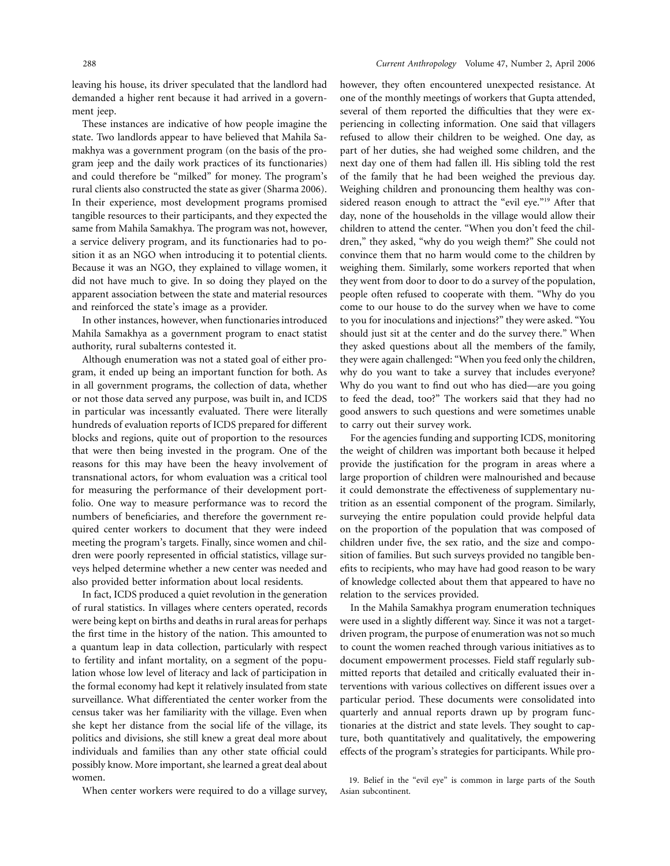leaving his house, its driver speculated that the landlord had demanded a higher rent because it had arrived in a government jeep.

These instances are indicative of how people imagine the state. Two landlords appear to have believed that Mahila Samakhya was a government program (on the basis of the program jeep and the daily work practices of its functionaries) and could therefore be "milked" for money. The program's rural clients also constructed the state as giver (Sharma 2006). In their experience, most development programs promised tangible resources to their participants, and they expected the same from Mahila Samakhya. The program was not, however, a service delivery program, and its functionaries had to position it as an NGO when introducing it to potential clients. Because it was an NGO, they explained to village women, it did not have much to give. In so doing they played on the apparent association between the state and material resources and reinforced the state's image as a provider.

In other instances, however, when functionaries introduced Mahila Samakhya as a government program to enact statist authority, rural subalterns contested it.

Although enumeration was not a stated goal of either program, it ended up being an important function for both. As in all government programs, the collection of data, whether or not those data served any purpose, was built in, and ICDS in particular was incessantly evaluated. There were literally hundreds of evaluation reports of ICDS prepared for different blocks and regions, quite out of proportion to the resources that were then being invested in the program. One of the reasons for this may have been the heavy involvement of transnational actors, for whom evaluation was a critical tool for measuring the performance of their development portfolio. One way to measure performance was to record the numbers of beneficiaries, and therefore the government required center workers to document that they were indeed meeting the program's targets. Finally, since women and children were poorly represented in official statistics, village surveys helped determine whether a new center was needed and also provided better information about local residents.

In fact, ICDS produced a quiet revolution in the generation of rural statistics. In villages where centers operated, records were being kept on births and deaths in rural areas for perhaps the first time in the history of the nation. This amounted to a quantum leap in data collection, particularly with respect to fertility and infant mortality, on a segment of the population whose low level of literacy and lack of participation in the formal economy had kept it relatively insulated from state surveillance. What differentiated the center worker from the census taker was her familiarity with the village. Even when she kept her distance from the social life of the village, its politics and divisions, she still knew a great deal more about individuals and families than any other state official could possibly know. More important, she learned a great deal about women.

When center workers were required to do a village survey,

however, they often encountered unexpected resistance. At one of the monthly meetings of workers that Gupta attended, several of them reported the difficulties that they were experiencing in collecting information. One said that villagers refused to allow their children to be weighed. One day, as part of her duties, she had weighed some children, and the next day one of them had fallen ill. His sibling told the rest of the family that he had been weighed the previous day. Weighing children and pronouncing them healthy was considered reason enough to attract the "evil eye."<sup>19</sup> After that day, none of the households in the village would allow their children to attend the center. "When you don't feed the children," they asked, "why do you weigh them?" She could not convince them that no harm would come to the children by weighing them. Similarly, some workers reported that when they went from door to door to do a survey of the population, people often refused to cooperate with them. "Why do you come to our house to do the survey when we have to come to you for inoculations and injections?" they were asked. "You should just sit at the center and do the survey there." When they asked questions about all the members of the family, they were again challenged: "When you feed only the children, why do you want to take a survey that includes everyone? Why do you want to find out who has died—are you going to feed the dead, too?" The workers said that they had no good answers to such questions and were sometimes unable to carry out their survey work.

For the agencies funding and supporting ICDS, monitoring the weight of children was important both because it helped provide the justification for the program in areas where a large proportion of children were malnourished and because it could demonstrate the effectiveness of supplementary nutrition as an essential component of the program. Similarly, surveying the entire population could provide helpful data on the proportion of the population that was composed of children under five, the sex ratio, and the size and composition of families. But such surveys provided no tangible benefits to recipients, who may have had good reason to be wary of knowledge collected about them that appeared to have no relation to the services provided.

In the Mahila Samakhya program enumeration techniques were used in a slightly different way. Since it was not a targetdriven program, the purpose of enumeration was not so much to count the women reached through various initiatives as to document empowerment processes. Field staff regularly submitted reports that detailed and critically evaluated their interventions with various collectives on different issues over a particular period. These documents were consolidated into quarterly and annual reports drawn up by program functionaries at the district and state levels. They sought to capture, both quantitatively and qualitatively, the empowering effects of the program's strategies for participants. While pro-

19. Belief in the "evil eye" is common in large parts of the South Asian subcontinent.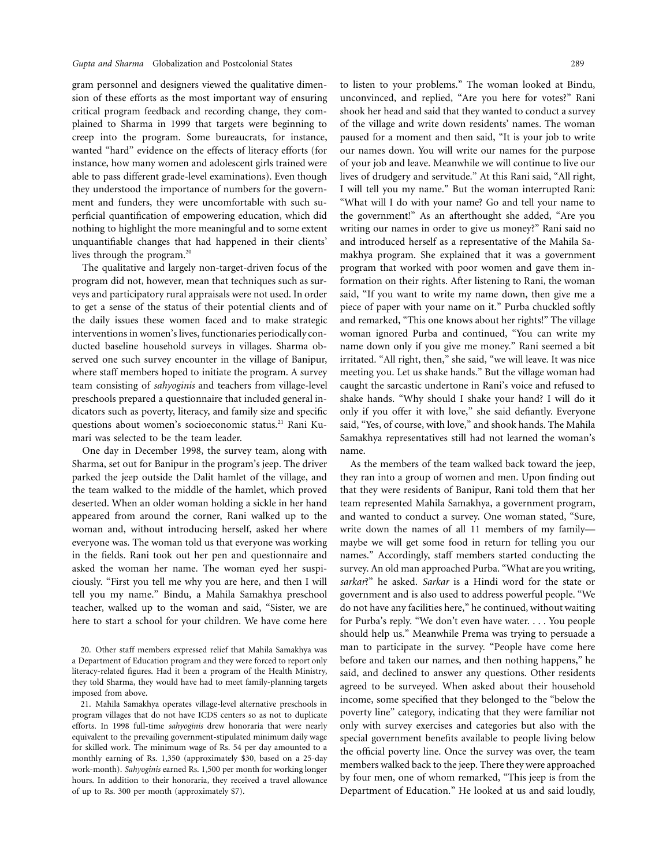gram personnel and designers viewed the qualitative dimension of these efforts as the most important way of ensuring critical program feedback and recording change, they complained to Sharma in 1999 that targets were beginning to creep into the program. Some bureaucrats, for instance, wanted "hard" evidence on the effects of literacy efforts (for instance, how many women and adolescent girls trained were able to pass different grade-level examinations). Even though they understood the importance of numbers for the government and funders, they were uncomfortable with such superficial quantification of empowering education, which did nothing to highlight the more meaningful and to some extent unquantifiable changes that had happened in their clients' lives through the program.<sup>20</sup>

The qualitative and largely non-target-driven focus of the program did not, however, mean that techniques such as surveys and participatory rural appraisals were not used. In order to get a sense of the status of their potential clients and of the daily issues these women faced and to make strategic interventions in women's lives, functionaries periodically conducted baseline household surveys in villages. Sharma observed one such survey encounter in the village of Banipur, where staff members hoped to initiate the program. A survey team consisting of *sahyoginis* and teachers from village-level preschools prepared a questionnaire that included general indicators such as poverty, literacy, and family size and specific questions about women's socioeconomic status.<sup>21</sup> Rani Kumari was selected to be the team leader.

One day in December 1998, the survey team, along with Sharma, set out for Banipur in the program's jeep. The driver parked the jeep outside the Dalit hamlet of the village, and the team walked to the middle of the hamlet, which proved deserted. When an older woman holding a sickle in her hand appeared from around the corner, Rani walked up to the woman and, without introducing herself, asked her where everyone was. The woman told us that everyone was working in the fields. Rani took out her pen and questionnaire and asked the woman her name. The woman eyed her suspiciously. "First you tell me why you are here, and then I will tell you my name." Bindu, a Mahila Samakhya preschool teacher, walked up to the woman and said, "Sister, we are here to start a school for your children. We have come here to listen to your problems." The woman looked at Bindu, unconvinced, and replied, "Are you here for votes?" Rani shook her head and said that they wanted to conduct a survey of the village and write down residents' names. The woman paused for a moment and then said, "It is your job to write our names down. You will write our names for the purpose of your job and leave. Meanwhile we will continue to live our lives of drudgery and servitude." At this Rani said, "All right, I will tell you my name." But the woman interrupted Rani: "What will I do with your name? Go and tell your name to the government!" As an afterthought she added, "Are you writing our names in order to give us money?" Rani said no and introduced herself as a representative of the Mahila Samakhya program. She explained that it was a government program that worked with poor women and gave them information on their rights. After listening to Rani, the woman said, "If you want to write my name down, then give me a piece of paper with your name on it." Purba chuckled softly and remarked, "This one knows about her rights!" The village woman ignored Purba and continued, "You can write my name down only if you give me money." Rani seemed a bit irritated. "All right, then," she said, "we will leave. It was nice meeting you. Let us shake hands." But the village woman had caught the sarcastic undertone in Rani's voice and refused to shake hands. "Why should I shake your hand? I will do it only if you offer it with love," she said defiantly. Everyone said, "Yes, of course, with love," and shook hands. The Mahila Samakhya representatives still had not learned the woman's name.

As the members of the team walked back toward the jeep, they ran into a group of women and men. Upon finding out that they were residents of Banipur, Rani told them that her team represented Mahila Samakhya, a government program, and wanted to conduct a survey. One woman stated, "Sure, write down the names of all 11 members of my family maybe we will get some food in return for telling you our names." Accordingly, staff members started conducting the survey. An old man approached Purba. "What are you writing, *sarkar*?" he asked. *Sarkar* is a Hindi word for the state or government and is also used to address powerful people. "We do not have any facilities here," he continued, without waiting for Purba's reply. "We don't even have water. . . . You people should help us." Meanwhile Prema was trying to persuade a man to participate in the survey. "People have come here before and taken our names, and then nothing happens," he said, and declined to answer any questions. Other residents agreed to be surveyed. When asked about their household income, some specified that they belonged to the "below the poverty line" category, indicating that they were familiar not only with survey exercises and categories but also with the special government benefits available to people living below the official poverty line. Once the survey was over, the team members walked back to the jeep. There they were approached by four men, one of whom remarked, "This jeep is from the Department of Education." He looked at us and said loudly,

<sup>20.</sup> Other staff members expressed relief that Mahila Samakhya was a Department of Education program and they were forced to report only literacy-related figures. Had it been a program of the Health Ministry, they told Sharma, they would have had to meet family-planning targets imposed from above.

<sup>21.</sup> Mahila Samakhya operates village-level alternative preschools in program villages that do not have ICDS centers so as not to duplicate efforts. In 1998 full-time *sahyoginis* drew honoraria that were nearly equivalent to the prevailing government-stipulated minimum daily wage for skilled work. The minimum wage of Rs. 54 per day amounted to a monthly earning of Rs. 1,350 (approximately \$30, based on a 25-day work-month). *Sahyoginis* earned Rs. 1,500 per month for working longer hours. In addition to their honoraria, they received a travel allowance of up to Rs. 300 per month (approximately \$7).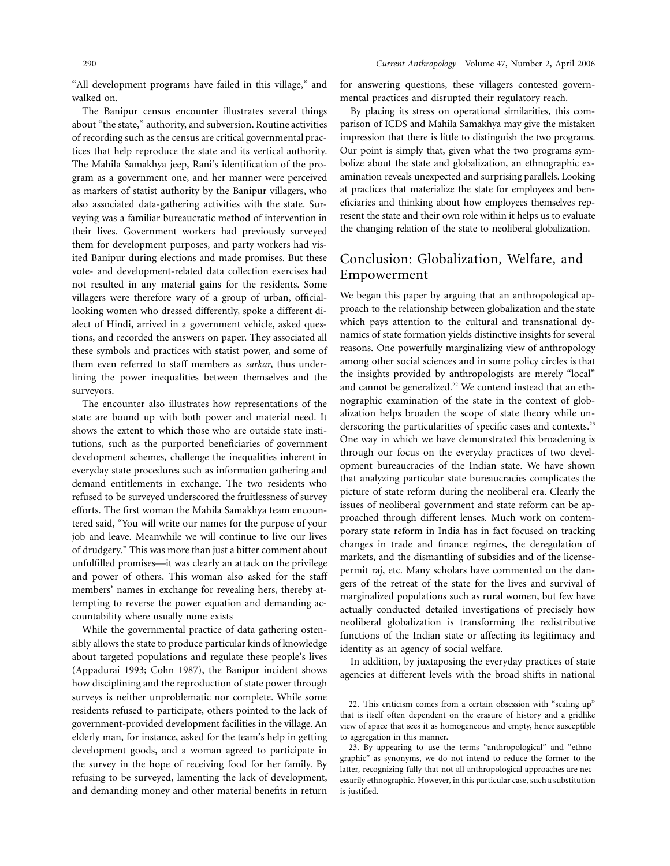"All development programs have failed in this village," and walked on.

The Banipur census encounter illustrates several things about "the state," authority, and subversion. Routine activities of recording such as the census are critical governmental practices that help reproduce the state and its vertical authority. The Mahila Samakhya jeep, Rani's identification of the program as a government one, and her manner were perceived as markers of statist authority by the Banipur villagers, who also associated data-gathering activities with the state. Surveying was a familiar bureaucratic method of intervention in their lives. Government workers had previously surveyed them for development purposes, and party workers had visited Banipur during elections and made promises. But these vote- and development-related data collection exercises had not resulted in any material gains for the residents. Some villagers were therefore wary of a group of urban, officiallooking women who dressed differently, spoke a different dialect of Hindi, arrived in a government vehicle, asked questions, and recorded the answers on paper. They associated all these symbols and practices with statist power, and some of them even referred to staff members as *sarkar*, thus underlining the power inequalities between themselves and the surveyors.

The encounter also illustrates how representations of the state are bound up with both power and material need. It shows the extent to which those who are outside state institutions, such as the purported beneficiaries of government development schemes, challenge the inequalities inherent in everyday state procedures such as information gathering and demand entitlements in exchange. The two residents who refused to be surveyed underscored the fruitlessness of survey efforts. The first woman the Mahila Samakhya team encountered said, "You will write our names for the purpose of your job and leave. Meanwhile we will continue to live our lives of drudgery." This was more than just a bitter comment about unfulfilled promises—it was clearly an attack on the privilege and power of others. This woman also asked for the staff members' names in exchange for revealing hers, thereby attempting to reverse the power equation and demanding accountability where usually none exists

While the governmental practice of data gathering ostensibly allows the state to produce particular kinds of knowledge about targeted populations and regulate these people's lives (Appadurai 1993; Cohn 1987), the Banipur incident shows how disciplining and the reproduction of state power through surveys is neither unproblematic nor complete. While some residents refused to participate, others pointed to the lack of government-provided development facilities in the village. An elderly man, for instance, asked for the team's help in getting development goods, and a woman agreed to participate in the survey in the hope of receiving food for her family. By refusing to be surveyed, lamenting the lack of development, and demanding money and other material benefits in return for answering questions, these villagers contested governmental practices and disrupted their regulatory reach.

By placing its stress on operational similarities, this comparison of ICDS and Mahila Samakhya may give the mistaken impression that there is little to distinguish the two programs. Our point is simply that, given what the two programs symbolize about the state and globalization, an ethnographic examination reveals unexpected and surprising parallels. Looking at practices that materialize the state for employees and beneficiaries and thinking about how employees themselves represent the state and their own role within it helps us to evaluate the changing relation of the state to neoliberal globalization.

# Conclusion: Globalization, Welfare, and Empowerment

We began this paper by arguing that an anthropological approach to the relationship between globalization and the state which pays attention to the cultural and transnational dynamics of state formation yields distinctive insights for several reasons. One powerfully marginalizing view of anthropology among other social sciences and in some policy circles is that the insights provided by anthropologists are merely "local" and cannot be generalized.<sup>22</sup> We contend instead that an ethnographic examination of the state in the context of globalization helps broaden the scope of state theory while underscoring the particularities of specific cases and contexts.<sup>23</sup> One way in which we have demonstrated this broadening is through our focus on the everyday practices of two development bureaucracies of the Indian state. We have shown that analyzing particular state bureaucracies complicates the picture of state reform during the neoliberal era. Clearly the issues of neoliberal government and state reform can be approached through different lenses. Much work on contemporary state reform in India has in fact focused on tracking changes in trade and finance regimes, the deregulation of markets, and the dismantling of subsidies and of the licensepermit raj, etc. Many scholars have commented on the dangers of the retreat of the state for the lives and survival of marginalized populations such as rural women, but few have actually conducted detailed investigations of precisely how neoliberal globalization is transforming the redistributive functions of the Indian state or affecting its legitimacy and identity as an agency of social welfare.

In addition, by juxtaposing the everyday practices of state agencies at different levels with the broad shifts in national

<sup>22.</sup> This criticism comes from a certain obsession with "scaling up" that is itself often dependent on the erasure of history and a gridlike view of space that sees it as homogeneous and empty, hence susceptible to aggregation in this manner.

<sup>23.</sup> By appearing to use the terms "anthropological" and "ethnographic" as synonyms, we do not intend to reduce the former to the latter, recognizing fully that not all anthropological approaches are necessarily ethnographic. However, in this particular case, such a substitution is justified.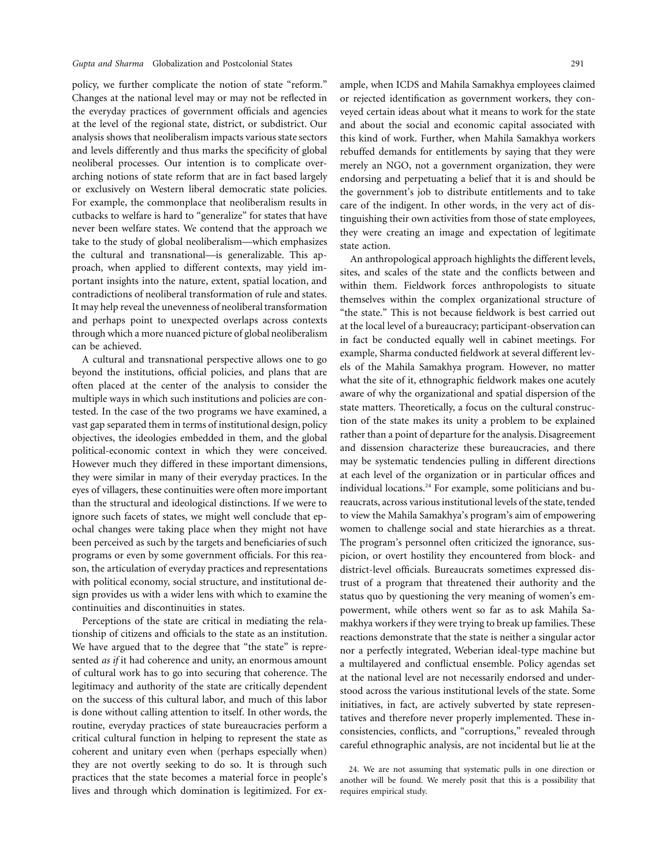policy, we further complicate the notion of state "reform." Changes at the national level may or may not be reflected in the everyday practices of government officials and agencies at the level of the regional state, district, or subdistrict. Our analysis shows that neoliberalism impacts various state sectors and levels differently and thus marks the specificity of global neoliberal processes. Our intention is to complicate overarching notions of state reform that are in fact based largely or exclusively on Western liberal democratic state policies. For example, the commonplace that neoliberalism results in cutbacks to welfare is hard to "generalize" for states that have never been welfare states. We contend that the approach we take to the study of global neoliberalism—which emphasizes the cultural and transnational—is generalizable. This approach, when applied to different contexts, may yield important insights into the nature, extent, spatial location, and contradictions of neoliberal transformation of rule and states. It may help reveal the unevenness of neoliberal transformation and perhaps point to unexpected overlaps across contexts through which a more nuanced picture of global neoliberalism can be achieved.

A cultural and transnational perspective allows one to go beyond the institutions, official policies, and plans that are often placed at the center of the analysis to consider the multiple ways in which such institutions and policies are contested. In the case of the two programs we have examined, a vast gap separated them in terms of institutional design, policy objectives, the ideologies embedded in them, and the global political-economic context in which they were conceived. However much they differed in these important dimensions, they were similar in many of their everyday practices. In the eyes of villagers, these continuities were often more important than the structural and ideological distinctions. If we were to ignore such facets of states, we might well conclude that epochal changes were taking place when they might not have been perceived as such by the targets and beneficiaries of such programs or even by some government officials. For this reason, the articulation of everyday practices and representations with political economy, social structure, and institutional design provides us with a wider lens with which to examine the continuities and discontinuities in states.

Perceptions of the state are critical in mediating the relationship of citizens and officials to the state as an institution. We have argued that to the degree that "the state" is represented *as if* it had coherence and unity, an enormous amount of cultural work has to go into securing that coherence. The legitimacy and authority of the state are critically dependent on the success of this cultural labor, and much of this labor is done without calling attention to itself. In other words, the routine, everyday practices of state bureaucracies perform a critical cultural function in helping to represent the state as coherent and unitary even when (perhaps especially when) they are not overtly seeking to do so. It is through such practices that the state becomes a material force in people's lives and through which domination is legitimized. For example, when ICDS and Mahila Samakhya employees claimed or rejected identification as government workers, they conveyed certain ideas about what it means to work for the state and about the social and economic capital associated with this kind of work. Further, when Mahila Samakhya workers rebuffed demands for entitlements by saying that they were merely an NGO, not a government organization, they were endorsing and perpetuating a belief that it is and should be the government's job to distribute entitlements and to take care of the indigent. In other words, in the very act of distinguishing their own activities from those of state employees, they were creating an image and expectation of legitimate state action.

An anthropological approach highlights the different levels, sites, and scales of the state and the conflicts between and within them. Fieldwork forces anthropologists to situate themselves within the complex organizational structure of "the state." This is not because fieldwork is best carried out at the local level of a bureaucracy; participant-observation can in fact be conducted equally well in cabinet meetings. For example, Sharma conducted fieldwork at several different levels of the Mahila Samakhya program. However, no matter what the site of it, ethnographic fieldwork makes one acutely aware of why the organizational and spatial dispersion of the state matters. Theoretically, a focus on the cultural construction of the state makes its unity a problem to be explained rather than a point of departure for the analysis. Disagreement and dissension characterize these bureaucracies, and there may be systematic tendencies pulling in different directions at each level of the organization or in particular offices and individual locations.<sup>24</sup> For example, some politicians and bureaucrats, across various institutional levels of the state, tended to view the Mahila Samakhya's program's aim of empowering women to challenge social and state hierarchies as a threat. The program's personnel often criticized the ignorance, suspicion, or overt hostility they encountered from block- and district-level officials. Bureaucrats sometimes expressed distrust of a program that threatened their authority and the status quo by questioning the very meaning of women's empowerment, while others went so far as to ask Mahila Samakhya workers if they were trying to break up families. These reactions demonstrate that the state is neither a singular actor nor a perfectly integrated, Weberian ideal-type machine but a multilayered and conflictual ensemble. Policy agendas set at the national level are not necessarily endorsed and understood across the various institutional levels of the state. Some initiatives, in fact, are actively subverted by state representatives and therefore never properly implemented. These inconsistencies, conflicts, and "corruptions," revealed through careful ethnographic analysis, are not incidental but lie at the

<sup>24.</sup> We are not assuming that systematic pulls in one direction or another will be found. We merely posit that this is a possibility that requires empirical study.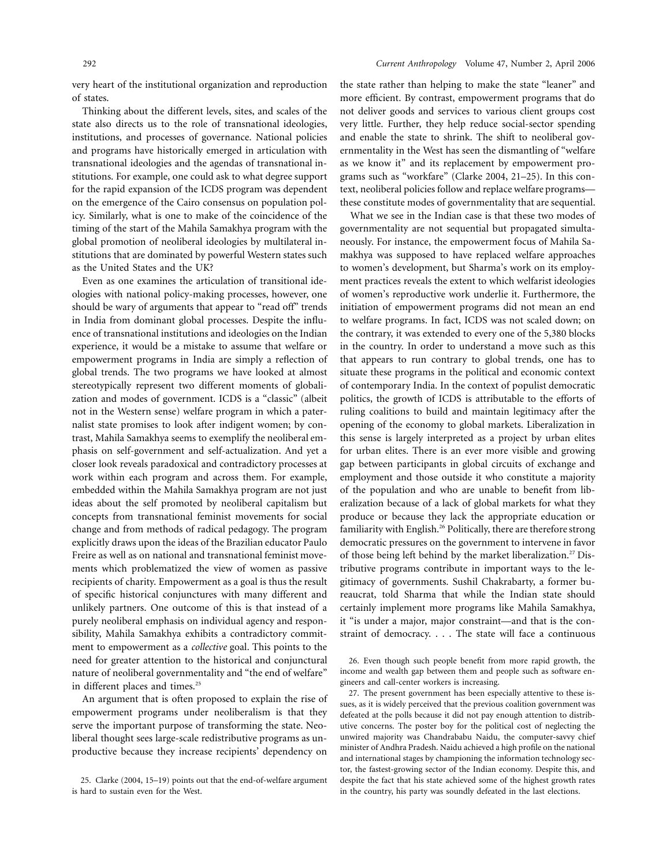very heart of the institutional organization and reproduction of states.

Thinking about the different levels, sites, and scales of the state also directs us to the role of transnational ideologies, institutions, and processes of governance. National policies and programs have historically emerged in articulation with transnational ideologies and the agendas of transnational institutions. For example, one could ask to what degree support for the rapid expansion of the ICDS program was dependent on the emergence of the Cairo consensus on population policy. Similarly, what is one to make of the coincidence of the timing of the start of the Mahila Samakhya program with the global promotion of neoliberal ideologies by multilateral institutions that are dominated by powerful Western states such as the United States and the UK?

Even as one examines the articulation of transitional ideologies with national policy-making processes, however, one should be wary of arguments that appear to "read off" trends in India from dominant global processes. Despite the influence of transnational institutions and ideologies on the Indian experience, it would be a mistake to assume that welfare or empowerment programs in India are simply a reflection of global trends. The two programs we have looked at almost stereotypically represent two different moments of globalization and modes of government. ICDS is a "classic" (albeit not in the Western sense) welfare program in which a paternalist state promises to look after indigent women; by contrast, Mahila Samakhya seems to exemplify the neoliberal emphasis on self-government and self-actualization. And yet a closer look reveals paradoxical and contradictory processes at work within each program and across them. For example, embedded within the Mahila Samakhya program are not just ideas about the self promoted by neoliberal capitalism but concepts from transnational feminist movements for social change and from methods of radical pedagogy. The program explicitly draws upon the ideas of the Brazilian educator Paulo Freire as well as on national and transnational feminist movements which problematized the view of women as passive recipients of charity. Empowerment as a goal is thus the result of specific historical conjunctures with many different and unlikely partners. One outcome of this is that instead of a purely neoliberal emphasis on individual agency and responsibility, Mahila Samakhya exhibits a contradictory commitment to empowerment as a *collective* goal. This points to the need for greater attention to the historical and conjunctural nature of neoliberal governmentality and "the end of welfare" in different places and times.<sup>25</sup>

An argument that is often proposed to explain the rise of empowerment programs under neoliberalism is that they serve the important purpose of transforming the state. Neoliberal thought sees large-scale redistributive programs as unproductive because they increase recipients' dependency on

the state rather than helping to make the state "leaner" and more efficient. By contrast, empowerment programs that do not deliver goods and services to various client groups cost very little. Further, they help reduce social-sector spending and enable the state to shrink. The shift to neoliberal governmentality in the West has seen the dismantling of "welfare as we know it" and its replacement by empowerment programs such as "workfare" (Clarke 2004, 21–25). In this context, neoliberal policies follow and replace welfare programs these constitute modes of governmentality that are sequential.

What we see in the Indian case is that these two modes of governmentality are not sequential but propagated simultaneously. For instance, the empowerment focus of Mahila Samakhya was supposed to have replaced welfare approaches to women's development, but Sharma's work on its employment practices reveals the extent to which welfarist ideologies of women's reproductive work underlie it. Furthermore, the initiation of empowerment programs did not mean an end to welfare programs. In fact, ICDS was not scaled down; on the contrary, it was extended to every one of the 5,380 blocks in the country. In order to understand a move such as this that appears to run contrary to global trends, one has to situate these programs in the political and economic context of contemporary India. In the context of populist democratic politics, the growth of ICDS is attributable to the efforts of ruling coalitions to build and maintain legitimacy after the opening of the economy to global markets. Liberalization in this sense is largely interpreted as a project by urban elites for urban elites. There is an ever more visible and growing gap between participants in global circuits of exchange and employment and those outside it who constitute a majority of the population and who are unable to benefit from liberalization because of a lack of global markets for what they produce or because they lack the appropriate education or familiarity with English.<sup>26</sup> Politically, there are therefore strong democratic pressures on the government to intervene in favor of those being left behind by the market liberalization.<sup>27</sup> Distributive programs contribute in important ways to the legitimacy of governments. Sushil Chakrabarty, a former bureaucrat, told Sharma that while the Indian state should certainly implement more programs like Mahila Samakhya, it "is under a major, major constraint—and that is the constraint of democracy. . . . The state will face a continuous

27. The present government has been especially attentive to these issues, as it is widely perceived that the previous coalition government was defeated at the polls because it did not pay enough attention to distributive concerns. The poster boy for the political cost of neglecting the unwired majority was Chandrababu Naidu, the computer-savvy chief minister of Andhra Pradesh. Naidu achieved a high profile on the national and international stages by championing the information technology sector, the fastest-growing sector of the Indian economy. Despite this, and despite the fact that his state achieved some of the highest growth rates in the country, his party was soundly defeated in the last elections.

<sup>25.</sup> Clarke (2004, 15–19) points out that the end-of-welfare argument is hard to sustain even for the West.

<sup>26.</sup> Even though such people benefit from more rapid growth, the income and wealth gap between them and people such as software engineers and call-center workers is increasing.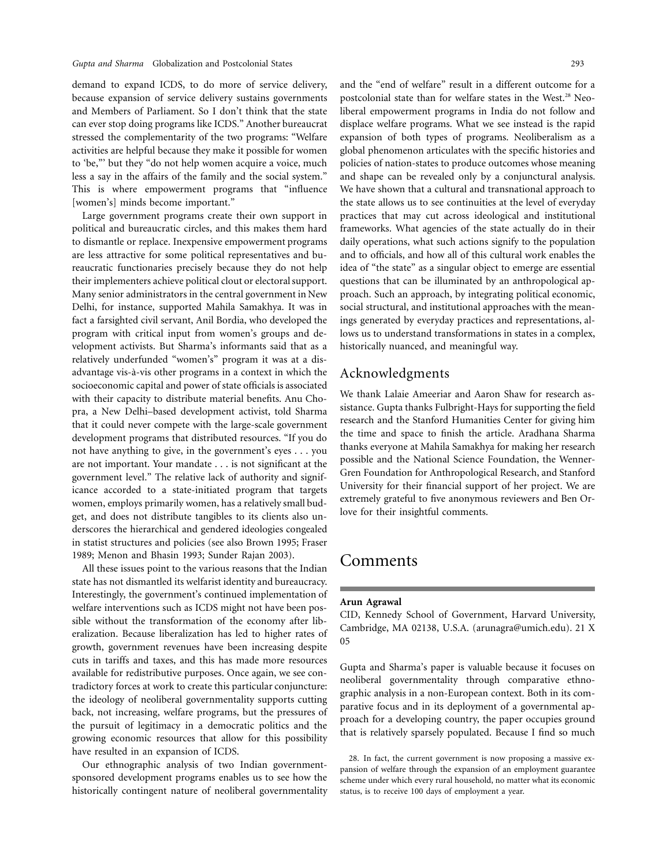demand to expand ICDS, to do more of service delivery, because expansion of service delivery sustains governments and Members of Parliament. So I don't think that the state can ever stop doing programs like ICDS." Another bureaucrat stressed the complementarity of the two programs: "Welfare activities are helpful because they make it possible for women to 'be,"' but they "do not help women acquire a voice, much less a say in the affairs of the family and the social system." This is where empowerment programs that "influence [women's] minds become important."

Large government programs create their own support in political and bureaucratic circles, and this makes them hard to dismantle or replace. Inexpensive empowerment programs are less attractive for some political representatives and bureaucratic functionaries precisely because they do not help their implementers achieve political clout or electoral support. Many senior administrators in the central government in New Delhi, for instance, supported Mahila Samakhya. It was in fact a farsighted civil servant, Anil Bordia, who developed the program with critical input from women's groups and development activists. But Sharma's informants said that as a relatively underfunded "women's" program it was at a disadvantage vis-a`-vis other programs in a context in which the socioeconomic capital and power of state officials is associated with their capacity to distribute material benefits. Anu Chopra, a New Delhi–based development activist, told Sharma that it could never compete with the large-scale government development programs that distributed resources. "If you do not have anything to give, in the government's eyes . . . you are not important. Your mandate . . . is not significant at the government level." The relative lack of authority and significance accorded to a state-initiated program that targets women, employs primarily women, has a relatively small budget, and does not distribute tangibles to its clients also underscores the hierarchical and gendered ideologies congealed in statist structures and policies (see also Brown 1995; Fraser 1989; Menon and Bhasin 1993; Sunder Rajan 2003).

All these issues point to the various reasons that the Indian state has not dismantled its welfarist identity and bureaucracy. Interestingly, the government's continued implementation of welfare interventions such as ICDS might not have been possible without the transformation of the economy after liberalization. Because liberalization has led to higher rates of growth, government revenues have been increasing despite cuts in tariffs and taxes, and this has made more resources available for redistributive purposes. Once again, we see contradictory forces at work to create this particular conjuncture: the ideology of neoliberal governmentality supports cutting back, not increasing, welfare programs, but the pressures of the pursuit of legitimacy in a democratic politics and the growing economic resources that allow for this possibility have resulted in an expansion of ICDS.

Our ethnographic analysis of two Indian governmentsponsored development programs enables us to see how the historically contingent nature of neoliberal governmentality and the "end of welfare" result in a different outcome for a postcolonial state than for welfare states in the West.<sup>28</sup> Neoliberal empowerment programs in India do not follow and displace welfare programs. What we see instead is the rapid expansion of both types of programs. Neoliberalism as a global phenomenon articulates with the specific histories and policies of nation-states to produce outcomes whose meaning and shape can be revealed only by a conjunctural analysis. We have shown that a cultural and transnational approach to the state allows us to see continuities at the level of everyday practices that may cut across ideological and institutional frameworks. What agencies of the state actually do in their daily operations, what such actions signify to the population and to officials, and how all of this cultural work enables the idea of "the state" as a singular object to emerge are essential questions that can be illuminated by an anthropological approach. Such an approach, by integrating political economic, social structural, and institutional approaches with the meanings generated by everyday practices and representations, allows us to understand transformations in states in a complex, historically nuanced, and meaningful way.

### Acknowledgments

We thank Lalaie Ameeriar and Aaron Shaw for research assistance. Gupta thanks Fulbright-Hays for supporting the field research and the Stanford Humanities Center for giving him the time and space to finish the article. Aradhana Sharma thanks everyone at Mahila Samakhya for making her research possible and the National Science Foundation, the Wenner-Gren Foundation for Anthropological Research, and Stanford University for their financial support of her project. We are extremely grateful to five anonymous reviewers and Ben Orlove for their insightful comments.

# Comments

### **Arun Agrawal**

CID, Kennedy School of Government, Harvard University, Cambridge, MA 02138, U.S.A. (arunagra@umich.edu). 21 X 05

Gupta and Sharma's paper is valuable because it focuses on neoliberal governmentality through comparative ethnographic analysis in a non-European context. Both in its comparative focus and in its deployment of a governmental approach for a developing country, the paper occupies ground that is relatively sparsely populated. Because I find so much

<sup>28.</sup> In fact, the current government is now proposing a massive expansion of welfare through the expansion of an employment guarantee scheme under which every rural household, no matter what its economic status, is to receive 100 days of employment a year.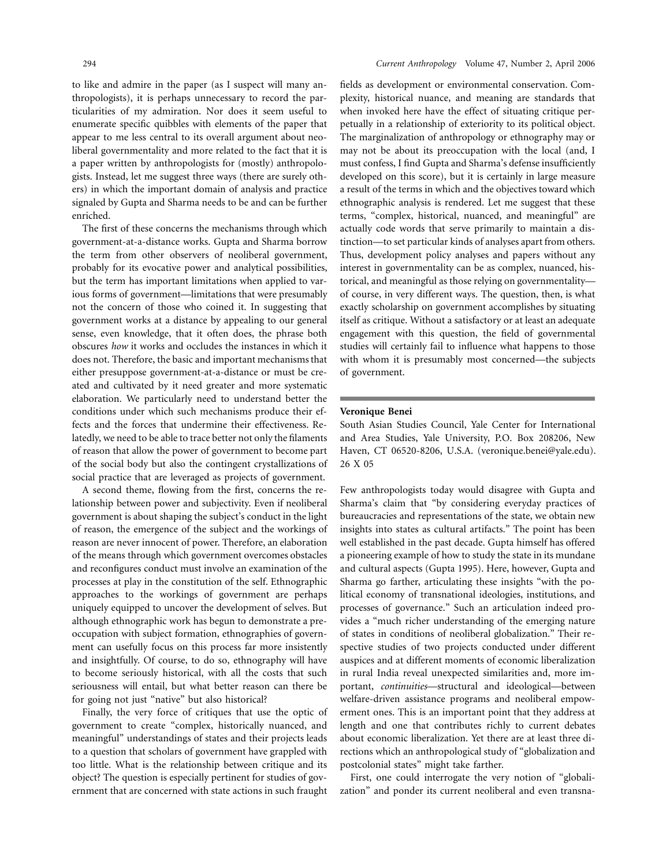to like and admire in the paper (as I suspect will many anthropologists), it is perhaps unnecessary to record the particularities of my admiration. Nor does it seem useful to enumerate specific quibbles with elements of the paper that appear to me less central to its overall argument about neoliberal governmentality and more related to the fact that it is a paper written by anthropologists for (mostly) anthropologists. Instead, let me suggest three ways (there are surely others) in which the important domain of analysis and practice signaled by Gupta and Sharma needs to be and can be further enriched.

The first of these concerns the mechanisms through which government-at-a-distance works. Gupta and Sharma borrow the term from other observers of neoliberal government, probably for its evocative power and analytical possibilities, but the term has important limitations when applied to various forms of government—limitations that were presumably not the concern of those who coined it. In suggesting that government works at a distance by appealing to our general sense, even knowledge, that it often does, the phrase both obscures *how* it works and occludes the instances in which it does not. Therefore, the basic and important mechanisms that either presuppose government-at-a-distance or must be created and cultivated by it need greater and more systematic elaboration. We particularly need to understand better the conditions under which such mechanisms produce their effects and the forces that undermine their effectiveness. Relatedly, we need to be able to trace better not only the filaments of reason that allow the power of government to become part of the social body but also the contingent crystallizations of social practice that are leveraged as projects of government.

A second theme, flowing from the first, concerns the relationship between power and subjectivity. Even if neoliberal government is about shaping the subject's conduct in the light of reason, the emergence of the subject and the workings of reason are never innocent of power. Therefore, an elaboration of the means through which government overcomes obstacles and reconfigures conduct must involve an examination of the processes at play in the constitution of the self. Ethnographic approaches to the workings of government are perhaps uniquely equipped to uncover the development of selves. But although ethnographic work has begun to demonstrate a preoccupation with subject formation, ethnographies of government can usefully focus on this process far more insistently and insightfully. Of course, to do so, ethnography will have to become seriously historical, with all the costs that such seriousness will entail, but what better reason can there be for going not just "native" but also historical?

Finally, the very force of critiques that use the optic of government to create "complex, historically nuanced, and meaningful" understandings of states and their projects leads to a question that scholars of government have grappled with too little. What is the relationship between critique and its object? The question is especially pertinent for studies of government that are concerned with state actions in such fraught fields as development or environmental conservation. Complexity, historical nuance, and meaning are standards that when invoked here have the effect of situating critique perpetually in a relationship of exteriority to its political object. The marginalization of anthropology or ethnography may or may not be about its preoccupation with the local (and, I must confess, I find Gupta and Sharma's defense insufficiently developed on this score), but it is certainly in large measure a result of the terms in which and the objectives toward which ethnographic analysis is rendered. Let me suggest that these terms, "complex, historical, nuanced, and meaningful" are actually code words that serve primarily to maintain a distinction—to set particular kinds of analyses apart from others. Thus, development policy analyses and papers without any interest in governmentality can be as complex, nuanced, historical, and meaningful as those relying on governmentality of course, in very different ways. The question, then, is what exactly scholarship on government accomplishes by situating itself as critique. Without a satisfactory or at least an adequate engagement with this question, the field of governmental studies will certainly fail to influence what happens to those with whom it is presumably most concerned—the subjects of government.

#### **Veronique Benei**

South Asian Studies Council, Yale Center for International and Area Studies, Yale University, P.O. Box 208206, New Haven, CT 06520-8206, U.S.A. (veronique.benei@yale.edu). 26 X 05

Few anthropologists today would disagree with Gupta and Sharma's claim that "by considering everyday practices of bureaucracies and representations of the state, we obtain new insights into states as cultural artifacts." The point has been well established in the past decade. Gupta himself has offered a pioneering example of how to study the state in its mundane and cultural aspects (Gupta 1995). Here, however, Gupta and Sharma go farther, articulating these insights "with the political economy of transnational ideologies, institutions, and processes of governance." Such an articulation indeed provides a "much richer understanding of the emerging nature of states in conditions of neoliberal globalization." Their respective studies of two projects conducted under different auspices and at different moments of economic liberalization in rural India reveal unexpected similarities and, more important, *continuities*—structural and ideological—between welfare-driven assistance programs and neoliberal empowerment ones. This is an important point that they address at length and one that contributes richly to current debates about economic liberalization. Yet there are at least three directions which an anthropological study of "globalization and postcolonial states" might take farther.

First, one could interrogate the very notion of "globalization" and ponder its current neoliberal and even transna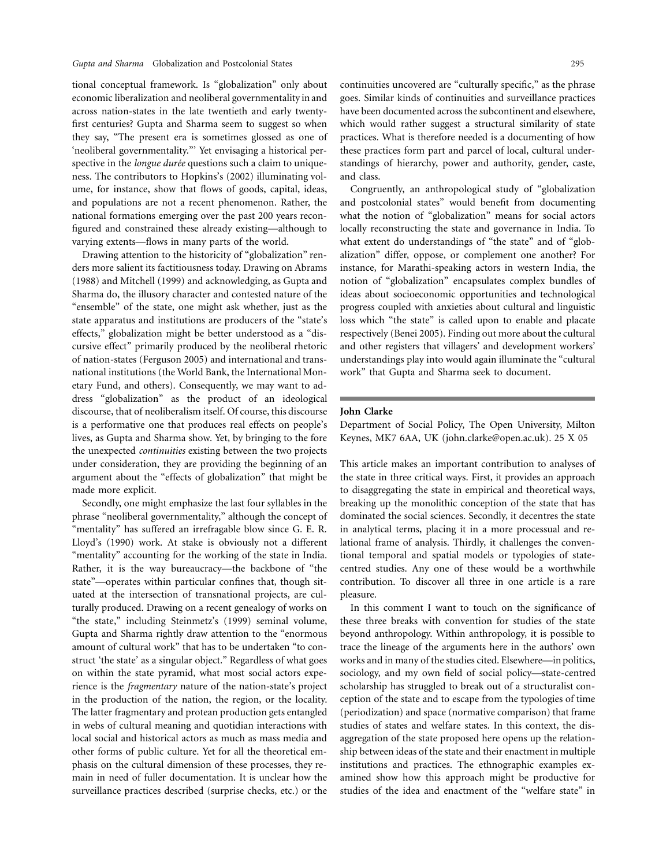tional conceptual framework. Is "globalization" only about economic liberalization and neoliberal governmentality in and across nation-states in the late twentieth and early twentyfirst centuries? Gupta and Sharma seem to suggest so when they say, "The present era is sometimes glossed as one of 'neoliberal governmentality."' Yet envisaging a historical perspective in the *longue durée* questions such a claim to uniqueness. The contributors to Hopkins's (2002) illuminating volume, for instance, show that flows of goods, capital, ideas, and populations are not a recent phenomenon. Rather, the national formations emerging over the past 200 years reconfigured and constrained these already existing—although to varying extents—flows in many parts of the world.

Drawing attention to the historicity of "globalization" renders more salient its factitiousness today. Drawing on Abrams (1988) and Mitchell (1999) and acknowledging, as Gupta and Sharma do, the illusory character and contested nature of the "ensemble" of the state, one might ask whether, just as the state apparatus and institutions are producers of the "state's effects," globalization might be better understood as a "discursive effect" primarily produced by the neoliberal rhetoric of nation-states (Ferguson 2005) and international and transnational institutions (the World Bank, the International Monetary Fund, and others). Consequently, we may want to address "globalization" as the product of an ideological discourse, that of neoliberalism itself. Of course, this discourse is a performative one that produces real effects on people's lives, as Gupta and Sharma show. Yet, by bringing to the fore the unexpected *continuities* existing between the two projects under consideration, they are providing the beginning of an argument about the "effects of globalization" that might be made more explicit.

Secondly, one might emphasize the last four syllables in the phrase "neoliberal governmentality," although the concept of "mentality" has suffered an irrefragable blow since G. E. R. Lloyd's (1990) work. At stake is obviously not a different "mentality" accounting for the working of the state in India. Rather, it is the way bureaucracy—the backbone of "the state"—operates within particular confines that, though situated at the intersection of transnational projects, are culturally produced. Drawing on a recent genealogy of works on "the state," including Steinmetz's (1999) seminal volume, Gupta and Sharma rightly draw attention to the "enormous amount of cultural work" that has to be undertaken "to construct 'the state' as a singular object." Regardless of what goes on within the state pyramid, what most social actors experience is the *fragmentary* nature of the nation-state's project in the production of the nation, the region, or the locality. The latter fragmentary and protean production gets entangled in webs of cultural meaning and quotidian interactions with local social and historical actors as much as mass media and other forms of public culture. Yet for all the theoretical emphasis on the cultural dimension of these processes, they remain in need of fuller documentation. It is unclear how the surveillance practices described (surprise checks, etc.) or the

continuities uncovered are "culturally specific," as the phrase goes. Similar kinds of continuities and surveillance practices have been documented across the subcontinent and elsewhere, which would rather suggest a structural similarity of state practices. What is therefore needed is a documenting of how these practices form part and parcel of local, cultural understandings of hierarchy, power and authority, gender, caste, and class.

Congruently, an anthropological study of "globalization and postcolonial states" would benefit from documenting what the notion of "globalization" means for social actors locally reconstructing the state and governance in India. To what extent do understandings of "the state" and of "globalization" differ, oppose, or complement one another? For instance, for Marathi-speaking actors in western India, the notion of "globalization" encapsulates complex bundles of ideas about socioeconomic opportunities and technological progress coupled with anxieties about cultural and linguistic loss which "the state" is called upon to enable and placate respectively (Benei 2005). Finding out more about the cultural and other registers that villagers' and development workers' understandings play into would again illuminate the "cultural work" that Gupta and Sharma seek to document.

#### **John Clarke**

Department of Social Policy, The Open University, Milton Keynes, MK7 6AA, UK (john.clarke@open.ac.uk). 25 X 05

This article makes an important contribution to analyses of the state in three critical ways. First, it provides an approach to disaggregating the state in empirical and theoretical ways, breaking up the monolithic conception of the state that has dominated the social sciences. Secondly, it decentres the state in analytical terms, placing it in a more processual and relational frame of analysis. Thirdly, it challenges the conventional temporal and spatial models or typologies of statecentred studies. Any one of these would be a worthwhile contribution. To discover all three in one article is a rare pleasure.

In this comment I want to touch on the significance of these three breaks with convention for studies of the state beyond anthropology. Within anthropology, it is possible to trace the lineage of the arguments here in the authors' own works and in many of the studies cited. Elsewhere—in politics, sociology, and my own field of social policy—state-centred scholarship has struggled to break out of a structuralist conception of the state and to escape from the typologies of time (periodization) and space (normative comparison) that frame studies of states and welfare states. In this context, the disaggregation of the state proposed here opens up the relationship between ideas of the state and their enactment in multiple institutions and practices. The ethnographic examples examined show how this approach might be productive for studies of the idea and enactment of the "welfare state" in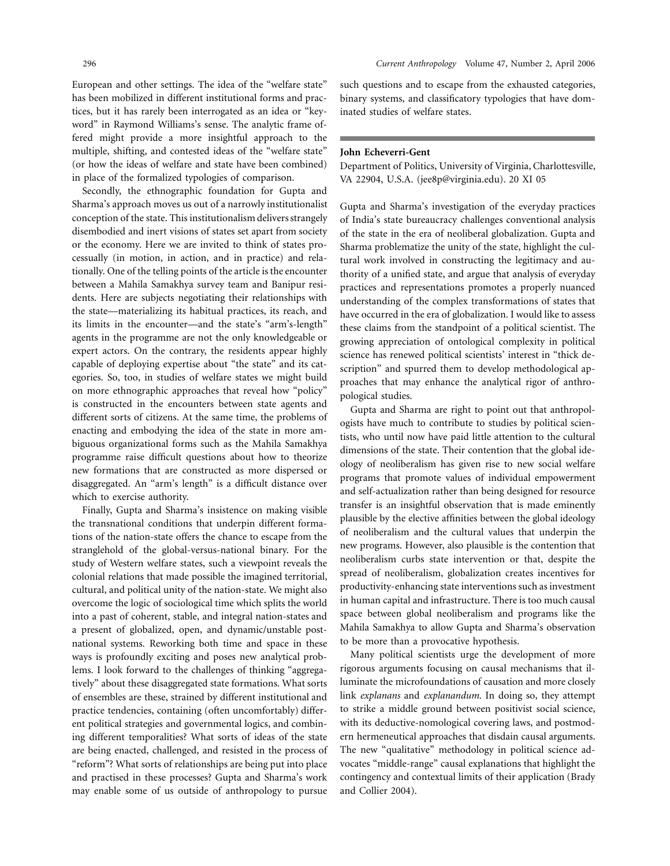European and other settings. The idea of the "welfare state" has been mobilized in different institutional forms and practices, but it has rarely been interrogated as an idea or "keyword" in Raymond Williams's sense. The analytic frame offered might provide a more insightful approach to the multiple, shifting, and contested ideas of the "welfare state" (or how the ideas of welfare and state have been combined) in place of the formalized typologies of comparison.

Secondly, the ethnographic foundation for Gupta and Sharma's approach moves us out of a narrowly institutionalist conception of the state. This institutionalism delivers strangely disembodied and inert visions of states set apart from society or the economy. Here we are invited to think of states processually (in motion, in action, and in practice) and relationally. One of the telling points of the article is the encounter between a Mahila Samakhya survey team and Banipur residents. Here are subjects negotiating their relationships with the state—materializing its habitual practices, its reach, and its limits in the encounter—and the state's "arm's-length" agents in the programme are not the only knowledgeable or expert actors. On the contrary, the residents appear highly capable of deploying expertise about "the state" and its categories. So, too, in studies of welfare states we might build on more ethnographic approaches that reveal how "policy" is constructed in the encounters between state agents and different sorts of citizens. At the same time, the problems of enacting and embodying the idea of the state in more ambiguous organizational forms such as the Mahila Samakhya programme raise difficult questions about how to theorize new formations that are constructed as more dispersed or disaggregated. An "arm's length" is a difficult distance over which to exercise authority.

Finally, Gupta and Sharma's insistence on making visible the transnational conditions that underpin different formations of the nation-state offers the chance to escape from the stranglehold of the global-versus-national binary. For the study of Western welfare states, such a viewpoint reveals the colonial relations that made possible the imagined territorial, cultural, and political unity of the nation-state. We might also overcome the logic of sociological time which splits the world into a past of coherent, stable, and integral nation-states and a present of globalized, open, and dynamic/unstable postnational systems. Reworking both time and space in these ways is profoundly exciting and poses new analytical problems. I look forward to the challenges of thinking "aggregatively" about these disaggregated state formations. What sorts of ensembles are these, strained by different institutional and practice tendencies, containing (often uncomfortably) different political strategies and governmental logics, and combining different temporalities? What sorts of ideas of the state are being enacted, challenged, and resisted in the process of "reform"? What sorts of relationships are being put into place and practised in these processes? Gupta and Sharma's work may enable some of us outside of anthropology to pursue such questions and to escape from the exhausted categories, binary systems, and classificatory typologies that have dominated studies of welfare states.

### **John Echeverri-Gent**

Department of Politics, University of Virginia, Charlottesville, VA 22904, U.S.A. (jee8p@virginia.edu). 20 XI 05

Gupta and Sharma's investigation of the everyday practices of India's state bureaucracy challenges conventional analysis of the state in the era of neoliberal globalization. Gupta and Sharma problematize the unity of the state, highlight the cultural work involved in constructing the legitimacy and authority of a unified state, and argue that analysis of everyday practices and representations promotes a properly nuanced understanding of the complex transformations of states that have occurred in the era of globalization. I would like to assess these claims from the standpoint of a political scientist. The growing appreciation of ontological complexity in political science has renewed political scientists' interest in "thick description" and spurred them to develop methodological approaches that may enhance the analytical rigor of anthropological studies.

Gupta and Sharma are right to point out that anthropologists have much to contribute to studies by political scientists, who until now have paid little attention to the cultural dimensions of the state. Their contention that the global ideology of neoliberalism has given rise to new social welfare programs that promote values of individual empowerment and self-actualization rather than being designed for resource transfer is an insightful observation that is made eminently plausible by the elective affinities between the global ideology of neoliberalism and the cultural values that underpin the new programs. However, also plausible is the contention that neoliberalism curbs state intervention or that, despite the spread of neoliberalism, globalization creates incentives for productivity-enhancing state interventions such as investment in human capital and infrastructure. There is too much causal space between global neoliberalism and programs like the Mahila Samakhya to allow Gupta and Sharma's observation to be more than a provocative hypothesis.

Many political scientists urge the development of more rigorous arguments focusing on causal mechanisms that illuminate the microfoundations of causation and more closely link *explanans* and *explanandum*. In doing so, they attempt to strike a middle ground between positivist social science, with its deductive-nomological covering laws, and postmodern hermeneutical approaches that disdain causal arguments. The new "qualitative" methodology in political science advocates "middle-range" causal explanations that highlight the contingency and contextual limits of their application (Brady and Collier 2004).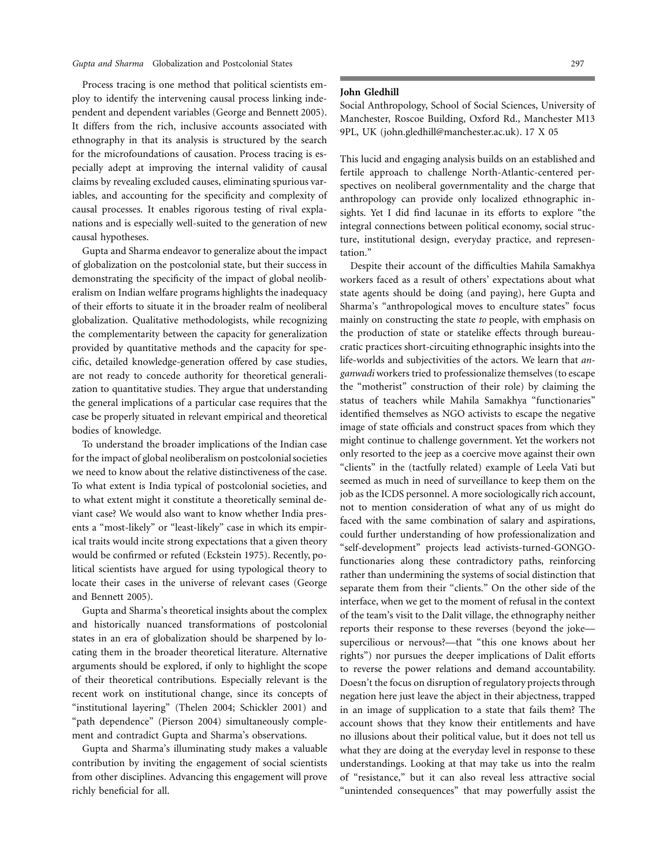Process tracing is one method that political scientists employ to identify the intervening causal process linking independent and dependent variables (George and Bennett 2005). It differs from the rich, inclusive accounts associated with ethnography in that its analysis is structured by the search for the microfoundations of causation. Process tracing is especially adept at improving the internal validity of causal claims by revealing excluded causes, eliminating spurious variables, and accounting for the specificity and complexity of causal processes. It enables rigorous testing of rival explanations and is especially well-suited to the generation of new causal hypotheses.

Gupta and Sharma endeavor to generalize about the impact of globalization on the postcolonial state, but their success in demonstrating the specificity of the impact of global neoliberalism on Indian welfare programs highlights the inadequacy of their efforts to situate it in the broader realm of neoliberal globalization. Qualitative methodologists, while recognizing the complementarity between the capacity for generalization provided by quantitative methods and the capacity for specific, detailed knowledge-generation offered by case studies, are not ready to concede authority for theoretical generalization to quantitative studies. They argue that understanding the general implications of a particular case requires that the case be properly situated in relevant empirical and theoretical bodies of knowledge.

To understand the broader implications of the Indian case for the impact of global neoliberalism on postcolonial societies we need to know about the relative distinctiveness of the case. To what extent is India typical of postcolonial societies, and to what extent might it constitute a theoretically seminal deviant case? We would also want to know whether India presents a "most-likely" or "least-likely" case in which its empirical traits would incite strong expectations that a given theory would be confirmed or refuted (Eckstein 1975). Recently, political scientists have argued for using typological theory to locate their cases in the universe of relevant cases (George and Bennett 2005).

Gupta and Sharma's theoretical insights about the complex and historically nuanced transformations of postcolonial states in an era of globalization should be sharpened by locating them in the broader theoretical literature. Alternative arguments should be explored, if only to highlight the scope of their theoretical contributions. Especially relevant is the recent work on institutional change, since its concepts of "institutional layering" (Thelen 2004; Schickler 2001) and "path dependence" (Pierson 2004) simultaneously complement and contradict Gupta and Sharma's observations.

Gupta and Sharma's illuminating study makes a valuable contribution by inviting the engagement of social scientists from other disciplines. Advancing this engagement will prove richly beneficial for all.

### **John Gledhill**

Social Anthropology, School of Social Sciences, University of Manchester, Roscoe Building, Oxford Rd., Manchester M13 9PL, UK (john.gledhill@manchester.ac.uk). 17 X 05

This lucid and engaging analysis builds on an established and fertile approach to challenge North-Atlantic-centered perspectives on neoliberal governmentality and the charge that anthropology can provide only localized ethnographic insights. Yet I did find lacunae in its efforts to explore "the integral connections between political economy, social structure, institutional design, everyday practice, and representation."

Despite their account of the difficulties Mahila Samakhya workers faced as a result of others' expectations about what state agents should be doing (and paying), here Gupta and Sharma's "anthropological moves to enculture states" focus mainly on constructing the state *to* people, with emphasis on the production of state or statelike effects through bureaucratic practices short-circuiting ethnographic insights into the life-worlds and subjectivities of the actors. We learn that *anganwadi* workers tried to professionalize themselves (to escape the "motherist" construction of their role) by claiming the status of teachers while Mahila Samakhya "functionaries" identified themselves as NGO activists to escape the negative image of state officials and construct spaces from which they might continue to challenge government. Yet the workers not only resorted to the jeep as a coercive move against their own "clients" in the (tactfully related) example of Leela Vati but seemed as much in need of surveillance to keep them on the job as the ICDS personnel. A more sociologically rich account, not to mention consideration of what any of us might do faced with the same combination of salary and aspirations, could further understanding of how professionalization and "self-development" projects lead activists-turned-GONGOfunctionaries along these contradictory paths, reinforcing rather than undermining the systems of social distinction that separate them from their "clients." On the other side of the interface, when we get to the moment of refusal in the context of the team's visit to the Dalit village, the ethnography neither reports their response to these reverses (beyond the joke supercilious or nervous?—that "this one knows about her rights") nor pursues the deeper implications of Dalit efforts to reverse the power relations and demand accountability. Doesn't the focus on disruption of regulatory projects through negation here just leave the abject in their abjectness, trapped in an image of supplication to a state that fails them? The account shows that they know their entitlements and have no illusions about their political value, but it does not tell us what they are doing at the everyday level in response to these understandings. Looking at that may take us into the realm of "resistance," but it can also reveal less attractive social "unintended consequences" that may powerfully assist the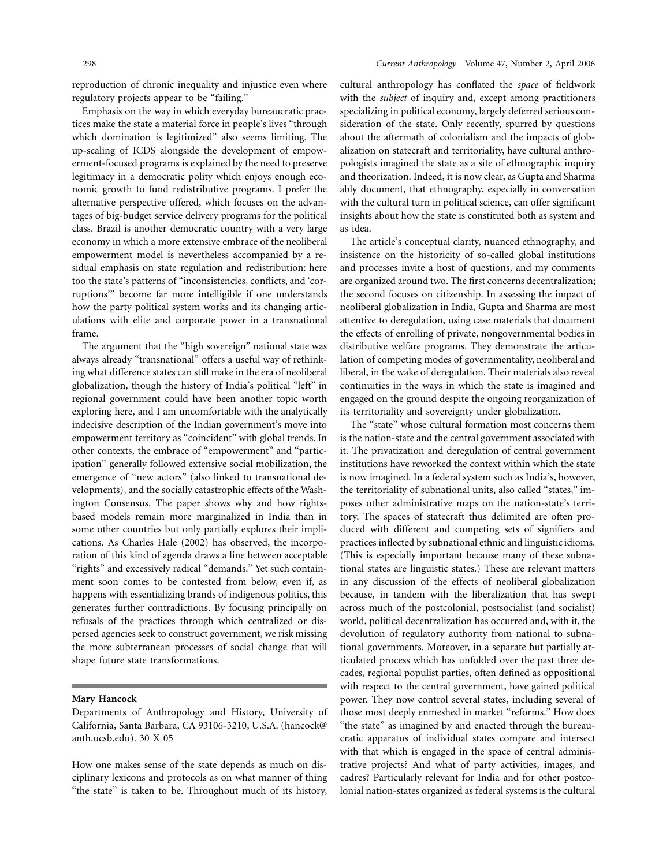reproduction of chronic inequality and injustice even where regulatory projects appear to be "failing."

Emphasis on the way in which everyday bureaucratic practices make the state a material force in people's lives "through which domination is legitimized" also seems limiting. The up-scaling of ICDS alongside the development of empowerment-focused programs is explained by the need to preserve legitimacy in a democratic polity which enjoys enough economic growth to fund redistributive programs. I prefer the alternative perspective offered, which focuses on the advantages of big-budget service delivery programs for the political class. Brazil is another democratic country with a very large economy in which a more extensive embrace of the neoliberal empowerment model is nevertheless accompanied by a residual emphasis on state regulation and redistribution: here too the state's patterns of "inconsistencies, conflicts, and 'corruptions'" become far more intelligible if one understands how the party political system works and its changing articulations with elite and corporate power in a transnational frame.

The argument that the "high sovereign" national state was always already "transnational" offers a useful way of rethinking what difference states can still make in the era of neoliberal globalization, though the history of India's political "left" in regional government could have been another topic worth exploring here, and I am uncomfortable with the analytically indecisive description of the Indian government's move into empowerment territory as "coincident" with global trends. In other contexts, the embrace of "empowerment" and "participation" generally followed extensive social mobilization, the emergence of "new actors" (also linked to transnational developments), and the socially catastrophic effects of the Washington Consensus. The paper shows why and how rightsbased models remain more marginalized in India than in some other countries but only partially explores their implications. As Charles Hale (2002) has observed, the incorporation of this kind of agenda draws a line between acceptable "rights" and excessively radical "demands." Yet such containment soon comes to be contested from below, even if, as happens with essentializing brands of indigenous politics, this generates further contradictions. By focusing principally on refusals of the practices through which centralized or dispersed agencies seek to construct government, we risk missing the more subterranean processes of social change that will shape future state transformations.

### **Mary Hancock**

Departments of Anthropology and History, University of California, Santa Barbara, CA 93106-3210, U.S.A. (hancock@ anth.ucsb.edu). 30 X 05

How one makes sense of the state depends as much on disciplinary lexicons and protocols as on what manner of thing "the state" is taken to be. Throughout much of its history,

cultural anthropology has conflated the *space* of fieldwork with the *subject* of inquiry and, except among practitioners specializing in political economy, largely deferred serious consideration of the state. Only recently, spurred by questions about the aftermath of colonialism and the impacts of globalization on statecraft and territoriality, have cultural anthropologists imagined the state as a site of ethnographic inquiry and theorization. Indeed, it is now clear, as Gupta and Sharma ably document, that ethnography, especially in conversation with the cultural turn in political science, can offer significant insights about how the state is constituted both as system and as idea.

The article's conceptual clarity, nuanced ethnography, and insistence on the historicity of so-called global institutions and processes invite a host of questions, and my comments are organized around two. The first concerns decentralization; the second focuses on citizenship. In assessing the impact of neoliberal globalization in India, Gupta and Sharma are most attentive to deregulation, using case materials that document the effects of enrolling of private, nongovernmental bodies in distributive welfare programs. They demonstrate the articulation of competing modes of governmentality, neoliberal and liberal, in the wake of deregulation. Their materials also reveal continuities in the ways in which the state is imagined and engaged on the ground despite the ongoing reorganization of its territoriality and sovereignty under globalization.

The "state" whose cultural formation most concerns them is the nation-state and the central government associated with it. The privatization and deregulation of central government institutions have reworked the context within which the state is now imagined. In a federal system such as India's, however, the territoriality of subnational units, also called "states," imposes other administrative maps on the nation-state's territory. The spaces of statecraft thus delimited are often produced with different and competing sets of signifiers and practices inflected by subnational ethnic and linguistic idioms. (This is especially important because many of these subnational states are linguistic states.) These are relevant matters in any discussion of the effects of neoliberal globalization because, in tandem with the liberalization that has swept across much of the postcolonial, postsocialist (and socialist) world, political decentralization has occurred and, with it, the devolution of regulatory authority from national to subnational governments. Moreover, in a separate but partially articulated process which has unfolded over the past three decades, regional populist parties, often defined as oppositional with respect to the central government, have gained political power. They now control several states, including several of those most deeply enmeshed in market "reforms." How does "the state" as imagined by and enacted through the bureaucratic apparatus of individual states compare and intersect with that which is engaged in the space of central administrative projects? And what of party activities, images, and cadres? Particularly relevant for India and for other postcolonial nation-states organized as federal systems is the cultural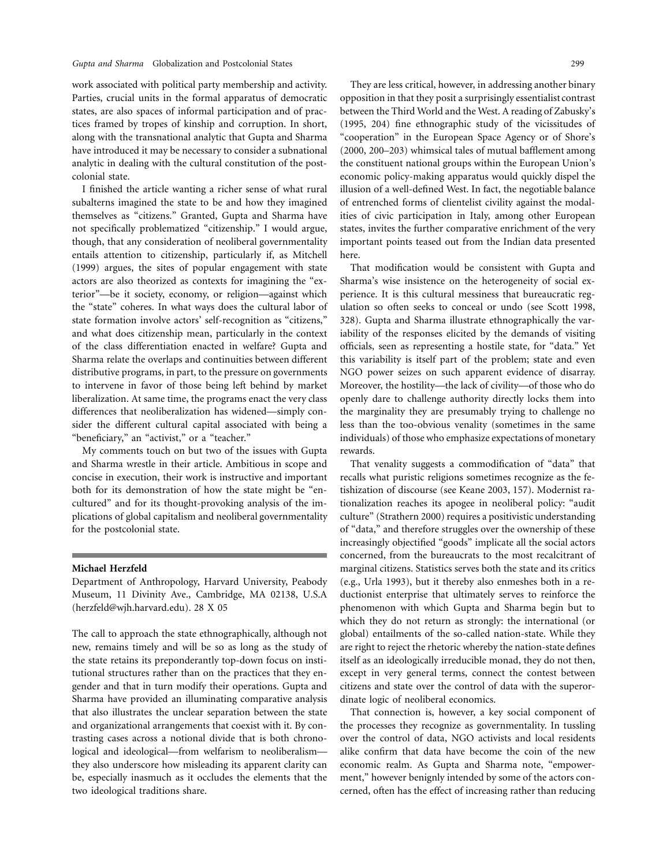work associated with political party membership and activity. Parties, crucial units in the formal apparatus of democratic states, are also spaces of informal participation and of practices framed by tropes of kinship and corruption. In short, along with the transnational analytic that Gupta and Sharma have introduced it may be necessary to consider a subnational analytic in dealing with the cultural constitution of the postcolonial state.

I finished the article wanting a richer sense of what rural subalterns imagined the state to be and how they imagined themselves as "citizens." Granted, Gupta and Sharma have not specifically problematized "citizenship." I would argue, though, that any consideration of neoliberal governmentality entails attention to citizenship, particularly if, as Mitchell (1999) argues, the sites of popular engagement with state actors are also theorized as contexts for imagining the "exterior"—be it society, economy, or religion—against which the "state" coheres. In what ways does the cultural labor of state formation involve actors' self-recognition as "citizens," and what does citizenship mean, particularly in the context of the class differentiation enacted in welfare? Gupta and Sharma relate the overlaps and continuities between different distributive programs, in part, to the pressure on governments to intervene in favor of those being left behind by market liberalization. At same time, the programs enact the very class differences that neoliberalization has widened—simply consider the different cultural capital associated with being a "beneficiary," an "activist," or a "teacher."

My comments touch on but two of the issues with Gupta and Sharma wrestle in their article. Ambitious in scope and concise in execution, their work is instructive and important both for its demonstration of how the state might be "encultured" and for its thought-provoking analysis of the implications of global capitalism and neoliberal governmentality for the postcolonial state.

### **Michael Herzfeld**

Department of Anthropology, Harvard University, Peabody Museum, 11 Divinity Ave., Cambridge, MA 02138, U.S.A (herzfeld@wjh.harvard.edu). 28 X 05

The call to approach the state ethnographically, although not new, remains timely and will be so as long as the study of the state retains its preponderantly top-down focus on institutional structures rather than on the practices that they engender and that in turn modify their operations. Gupta and Sharma have provided an illuminating comparative analysis that also illustrates the unclear separation between the state and organizational arrangements that coexist with it. By contrasting cases across a notional divide that is both chronological and ideological—from welfarism to neoliberalism they also underscore how misleading its apparent clarity can be, especially inasmuch as it occludes the elements that the two ideological traditions share.

They are less critical, however, in addressing another binary opposition in that they posit a surprisingly essentialist contrast between the Third World and the West. A reading of Zabusky's (1995, 204) fine ethnographic study of the vicissitudes of "cooperation" in the European Space Agency or of Shore's (2000, 200–203) whimsical tales of mutual bafflement among the constituent national groups within the European Union's economic policy-making apparatus would quickly dispel the illusion of a well-defined West. In fact, the negotiable balance of entrenched forms of clientelist civility against the modalities of civic participation in Italy, among other European states, invites the further comparative enrichment of the very important points teased out from the Indian data presented here.

That modification would be consistent with Gupta and Sharma's wise insistence on the heterogeneity of social experience. It is this cultural messiness that bureaucratic regulation so often seeks to conceal or undo (see Scott 1998, 328). Gupta and Sharma illustrate ethnographically the variability of the responses elicited by the demands of visiting officials, seen as representing a hostile state, for "data." Yet this variability is itself part of the problem; state and even NGO power seizes on such apparent evidence of disarray. Moreover, the hostility—the lack of civility—of those who do openly dare to challenge authority directly locks them into the marginality they are presumably trying to challenge no less than the too-obvious venality (sometimes in the same individuals) of those who emphasize expectations of monetary rewards.

That venality suggests a commodification of "data" that recalls what puristic religions sometimes recognize as the fetishization of discourse (see Keane 2003, 157). Modernist rationalization reaches its apogee in neoliberal policy: "audit culture" (Strathern 2000) requires a positivistic understanding of "data," and therefore struggles over the ownership of these increasingly objectified "goods" implicate all the social actors concerned, from the bureaucrats to the most recalcitrant of marginal citizens. Statistics serves both the state and its critics (e.g., Urla 1993), but it thereby also enmeshes both in a reductionist enterprise that ultimately serves to reinforce the phenomenon with which Gupta and Sharma begin but to which they do not return as strongly: the international (or global) entailments of the so-called nation-state. While they are right to reject the rhetoric whereby the nation-state defines itself as an ideologically irreducible monad, they do not then, except in very general terms, connect the contest between citizens and state over the control of data with the superordinate logic of neoliberal economics.

That connection is, however, a key social component of the processes they recognize as governmentality. In tussling over the control of data, NGO activists and local residents alike confirm that data have become the coin of the new economic realm. As Gupta and Sharma note, "empowerment," however benignly intended by some of the actors concerned, often has the effect of increasing rather than reducing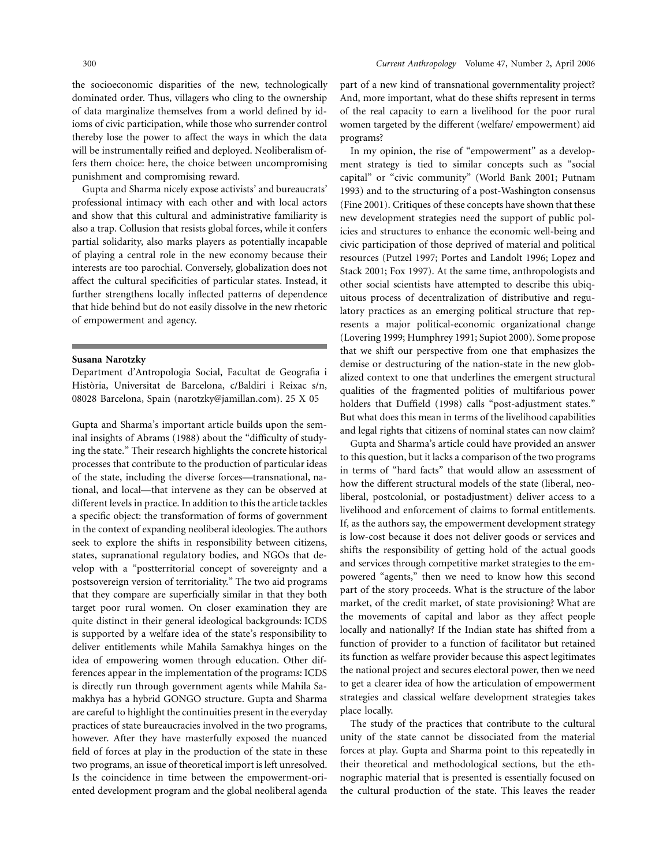the socioeconomic disparities of the new, technologically dominated order. Thus, villagers who cling to the ownership of data marginalize themselves from a world defined by idioms of civic participation, while those who surrender control thereby lose the power to affect the ways in which the data will be instrumentally reified and deployed. Neoliberalism offers them choice: here, the choice between uncompromising punishment and compromising reward.

Gupta and Sharma nicely expose activists' and bureaucrats' professional intimacy with each other and with local actors and show that this cultural and administrative familiarity is also a trap. Collusion that resists global forces, while it confers partial solidarity, also marks players as potentially incapable of playing a central role in the new economy because their interests are too parochial. Conversely, globalization does not affect the cultural specificities of particular states. Instead, it further strengthens locally inflected patterns of dependence that hide behind but do not easily dissolve in the new rhetoric of empowerment and agency.

### **Susana Narotzky**

Department d'Antropologia Social, Facultat de Geografia i Història, Universitat de Barcelona, c/Baldiri i Reixac s/n, 08028 Barcelona, Spain (narotzky@jamillan.com). 25 X 05

Gupta and Sharma's important article builds upon the seminal insights of Abrams (1988) about the "difficulty of studying the state." Their research highlights the concrete historical processes that contribute to the production of particular ideas of the state, including the diverse forces—transnational, national, and local—that intervene as they can be observed at different levels in practice. In addition to this the article tackles a specific object: the transformation of forms of government in the context of expanding neoliberal ideologies. The authors seek to explore the shifts in responsibility between citizens, states, supranational regulatory bodies, and NGOs that develop with a "postterritorial concept of sovereignty and a postsovereign version of territoriality." The two aid programs that they compare are superficially similar in that they both target poor rural women. On closer examination they are quite distinct in their general ideological backgrounds: ICDS is supported by a welfare idea of the state's responsibility to deliver entitlements while Mahila Samakhya hinges on the idea of empowering women through education. Other differences appear in the implementation of the programs: ICDS is directly run through government agents while Mahila Samakhya has a hybrid GONGO structure. Gupta and Sharma are careful to highlight the continuities present in the everyday practices of state bureaucracies involved in the two programs, however. After they have masterfully exposed the nuanced field of forces at play in the production of the state in these two programs, an issue of theoretical import is left unresolved. Is the coincidence in time between the empowerment-oriented development program and the global neoliberal agenda part of a new kind of transnational governmentality project? And, more important, what do these shifts represent in terms of the real capacity to earn a livelihood for the poor rural women targeted by the different (welfare/ empowerment) aid programs?

In my opinion, the rise of "empowerment" as a development strategy is tied to similar concepts such as "social capital" or "civic community" (World Bank 2001; Putnam 1993) and to the structuring of a post-Washington consensus (Fine 2001). Critiques of these concepts have shown that these new development strategies need the support of public policies and structures to enhance the economic well-being and civic participation of those deprived of material and political resources (Putzel 1997; Portes and Landolt 1996; Lopez and Stack 2001; Fox 1997). At the same time, anthropologists and other social scientists have attempted to describe this ubiquitous process of decentralization of distributive and regulatory practices as an emerging political structure that represents a major political-economic organizational change (Lovering 1999; Humphrey 1991; Supiot 2000). Some propose that we shift our perspective from one that emphasizes the demise or destructuring of the nation-state in the new globalized context to one that underlines the emergent structural qualities of the fragmented polities of multifarious power holders that Duffield (1998) calls "post-adjustment states." But what does this mean in terms of the livelihood capabilities and legal rights that citizens of nominal states can now claim?

Gupta and Sharma's article could have provided an answer to this question, but it lacks a comparison of the two programs in terms of "hard facts" that would allow an assessment of how the different structural models of the state (liberal, neoliberal, postcolonial, or postadjustment) deliver access to a livelihood and enforcement of claims to formal entitlements. If, as the authors say, the empowerment development strategy is low-cost because it does not deliver goods or services and shifts the responsibility of getting hold of the actual goods and services through competitive market strategies to the empowered "agents," then we need to know how this second part of the story proceeds. What is the structure of the labor market, of the credit market, of state provisioning? What are the movements of capital and labor as they affect people locally and nationally? If the Indian state has shifted from a function of provider to a function of facilitator but retained its function as welfare provider because this aspect legitimates the national project and secures electoral power, then we need to get a clearer idea of how the articulation of empowerment strategies and classical welfare development strategies takes place locally.

The study of the practices that contribute to the cultural unity of the state cannot be dissociated from the material forces at play. Gupta and Sharma point to this repeatedly in their theoretical and methodological sections, but the ethnographic material that is presented is essentially focused on the cultural production of the state. This leaves the reader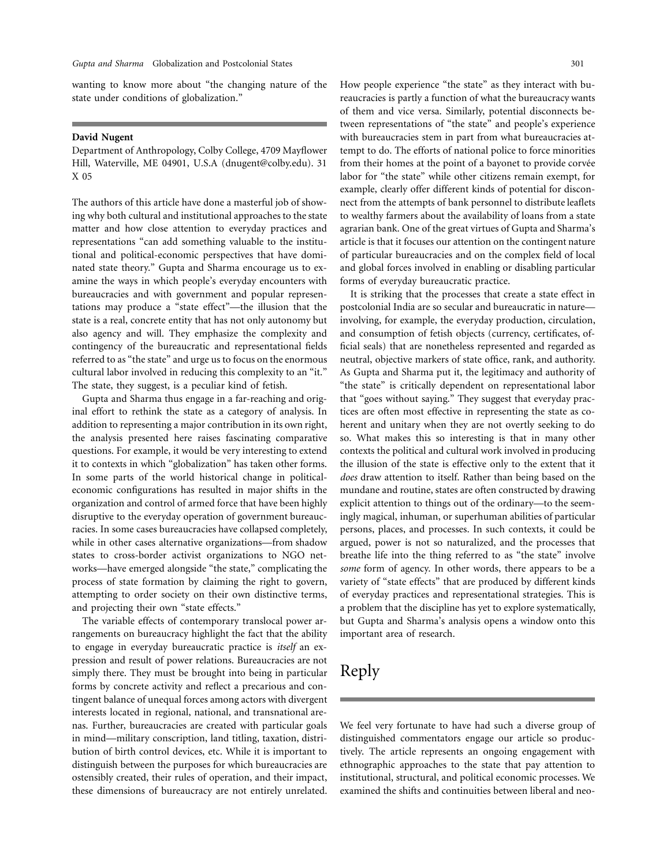wanting to know more about "the changing nature of the state under conditions of globalization."

### **David Nugent**

Department of Anthropology, Colby College, 4709 Mayflower Hill, Waterville, ME 04901, U.S.A (dnugent@colby.edu). 31 X 05

The authors of this article have done a masterful job of showing why both cultural and institutional approaches to the state matter and how close attention to everyday practices and representations "can add something valuable to the institutional and political-economic perspectives that have dominated state theory." Gupta and Sharma encourage us to examine the ways in which people's everyday encounters with bureaucracies and with government and popular representations may produce a "state effect"—the illusion that the state is a real, concrete entity that has not only autonomy but also agency and will. They emphasize the complexity and contingency of the bureaucratic and representational fields referred to as "the state" and urge us to focus on the enormous cultural labor involved in reducing this complexity to an "it." The state, they suggest, is a peculiar kind of fetish.

Gupta and Sharma thus engage in a far-reaching and original effort to rethink the state as a category of analysis. In addition to representing a major contribution in its own right, the analysis presented here raises fascinating comparative questions. For example, it would be very interesting to extend it to contexts in which "globalization" has taken other forms. In some parts of the world historical change in politicaleconomic configurations has resulted in major shifts in the organization and control of armed force that have been highly disruptive to the everyday operation of government bureaucracies. In some cases bureaucracies have collapsed completely, while in other cases alternative organizations—from shadow states to cross-border activist organizations to NGO networks—have emerged alongside "the state," complicating the process of state formation by claiming the right to govern, attempting to order society on their own distinctive terms, and projecting their own "state effects."

The variable effects of contemporary translocal power arrangements on bureaucracy highlight the fact that the ability to engage in everyday bureaucratic practice is *itself* an expression and result of power relations. Bureaucracies are not simply there. They must be brought into being in particular forms by concrete activity and reflect a precarious and contingent balance of unequal forces among actors with divergent interests located in regional, national, and transnational arenas. Further, bureaucracies are created with particular goals in mind—military conscription, land titling, taxation, distribution of birth control devices, etc. While it is important to distinguish between the purposes for which bureaucracies are ostensibly created, their rules of operation, and their impact, these dimensions of bureaucracy are not entirely unrelated.

How people experience "the state" as they interact with bureaucracies is partly a function of what the bureaucracy wants of them and vice versa. Similarly, potential disconnects between representations of "the state" and people's experience with bureaucracies stem in part from what bureaucracies attempt to do. The efforts of national police to force minorities from their homes at the point of a bayonet to provide corvée labor for "the state" while other citizens remain exempt, for example, clearly offer different kinds of potential for disconnect from the attempts of bank personnel to distribute leaflets to wealthy farmers about the availability of loans from a state agrarian bank. One of the great virtues of Gupta and Sharma's article is that it focuses our attention on the contingent nature of particular bureaucracies and on the complex field of local and global forces involved in enabling or disabling particular forms of everyday bureaucratic practice.

It is striking that the processes that create a state effect in postcolonial India are so secular and bureaucratic in nature involving, for example, the everyday production, circulation, and consumption of fetish objects (currency, certificates, official seals) that are nonetheless represented and regarded as neutral, objective markers of state office, rank, and authority. As Gupta and Sharma put it, the legitimacy and authority of "the state" is critically dependent on representational labor that "goes without saying." They suggest that everyday practices are often most effective in representing the state as coherent and unitary when they are not overtly seeking to do so. What makes this so interesting is that in many other contexts the political and cultural work involved in producing the illusion of the state is effective only to the extent that it *does* draw attention to itself. Rather than being based on the mundane and routine, states are often constructed by drawing explicit attention to things out of the ordinary—to the seemingly magical, inhuman, or superhuman abilities of particular persons, places, and processes. In such contexts, it could be argued, power is not so naturalized, and the processes that breathe life into the thing referred to as "the state" involve *some* form of agency. In other words, there appears to be a variety of "state effects" that are produced by different kinds of everyday practices and representational strategies. This is a problem that the discipline has yet to explore systematically, but Gupta and Sharma's analysis opens a window onto this important area of research.

# Reply

We feel very fortunate to have had such a diverse group of distinguished commentators engage our article so productively. The article represents an ongoing engagement with ethnographic approaches to the state that pay attention to institutional, structural, and political economic processes. We examined the shifts and continuities between liberal and neo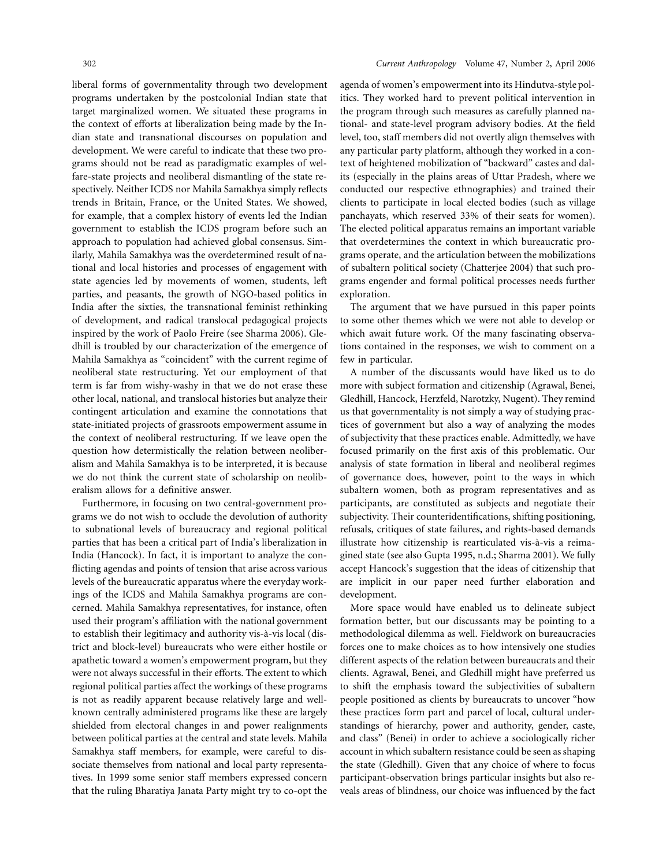liberal forms of governmentality through two development programs undertaken by the postcolonial Indian state that target marginalized women. We situated these programs in the context of efforts at liberalization being made by the Indian state and transnational discourses on population and development. We were careful to indicate that these two programs should not be read as paradigmatic examples of welfare-state projects and neoliberal dismantling of the state respectively. Neither ICDS nor Mahila Samakhya simply reflects trends in Britain, France, or the United States. We showed, for example, that a complex history of events led the Indian government to establish the ICDS program before such an approach to population had achieved global consensus. Similarly, Mahila Samakhya was the overdetermined result of national and local histories and processes of engagement with state agencies led by movements of women, students, left parties, and peasants, the growth of NGO-based politics in India after the sixties, the transnational feminist rethinking of development, and radical translocal pedagogical projects inspired by the work of Paolo Freire (see Sharma 2006). Gledhill is troubled by our characterization of the emergence of Mahila Samakhya as "coincident" with the current regime of neoliberal state restructuring. Yet our employment of that term is far from wishy-washy in that we do not erase these other local, national, and translocal histories but analyze their contingent articulation and examine the connotations that state-initiated projects of grassroots empowerment assume in the context of neoliberal restructuring. If we leave open the question how determistically the relation between neoliberalism and Mahila Samakhya is to be interpreted, it is because we do not think the current state of scholarship on neoliberalism allows for a definitive answer.

Furthermore, in focusing on two central-government programs we do not wish to occlude the devolution of authority to subnational levels of bureaucracy and regional political parties that has been a critical part of India's liberalization in India (Hancock). In fact, it is important to analyze the conflicting agendas and points of tension that arise across various levels of the bureaucratic apparatus where the everyday workings of the ICDS and Mahila Samakhya programs are concerned. Mahila Samakhya representatives, for instance, often used their program's affiliation with the national government to establish their legitimacy and authority vis-à-vis local (district and block-level) bureaucrats who were either hostile or apathetic toward a women's empowerment program, but they were not always successful in their efforts. The extent to which regional political parties affect the workings of these programs is not as readily apparent because relatively large and wellknown centrally administered programs like these are largely shielded from electoral changes in and power realignments between political parties at the central and state levels. Mahila Samakhya staff members, for example, were careful to dissociate themselves from national and local party representatives. In 1999 some senior staff members expressed concern that the ruling Bharatiya Janata Party might try to co-opt the

agenda of women's empowerment into its Hindutva-style politics. They worked hard to prevent political intervention in the program through such measures as carefully planned national- and state-level program advisory bodies. At the field level, too, staff members did not overtly align themselves with any particular party platform, although they worked in a context of heightened mobilization of "backward" castes and dalits (especially in the plains areas of Uttar Pradesh, where we conducted our respective ethnographies) and trained their clients to participate in local elected bodies (such as village panchayats, which reserved 33% of their seats for women). The elected political apparatus remains an important variable that overdetermines the context in which bureaucratic programs operate, and the articulation between the mobilizations of subaltern political society (Chatterjee 2004) that such programs engender and formal political processes needs further exploration.

The argument that we have pursued in this paper points to some other themes which we were not able to develop or which await future work. Of the many fascinating observations contained in the responses, we wish to comment on a few in particular.

A number of the discussants would have liked us to do more with subject formation and citizenship (Agrawal, Benei, Gledhill, Hancock, Herzfeld, Narotzky, Nugent). They remind us that governmentality is not simply a way of studying practices of government but also a way of analyzing the modes of subjectivity that these practices enable. Admittedly, we have focused primarily on the first axis of this problematic. Our analysis of state formation in liberal and neoliberal regimes of governance does, however, point to the ways in which subaltern women, both as program representatives and as participants, are constituted as subjects and negotiate their subjectivity. Their counteridentifications, shifting positioning, refusals, critiques of state failures, and rights-based demands illustrate how citizenship is rearticulated vis-à-vis a reimagined state (see also Gupta 1995, n.d.; Sharma 2001). We fully accept Hancock's suggestion that the ideas of citizenship that are implicit in our paper need further elaboration and development.

More space would have enabled us to delineate subject formation better, but our discussants may be pointing to a methodological dilemma as well. Fieldwork on bureaucracies forces one to make choices as to how intensively one studies different aspects of the relation between bureaucrats and their clients. Agrawal, Benei, and Gledhill might have preferred us to shift the emphasis toward the subjectivities of subaltern people positioned as clients by bureaucrats to uncover "how these practices form part and parcel of local, cultural understandings of hierarchy, power and authority, gender, caste, and class" (Benei) in order to achieve a sociologically richer account in which subaltern resistance could be seen as shaping the state (Gledhill). Given that any choice of where to focus participant-observation brings particular insights but also reveals areas of blindness, our choice was influenced by the fact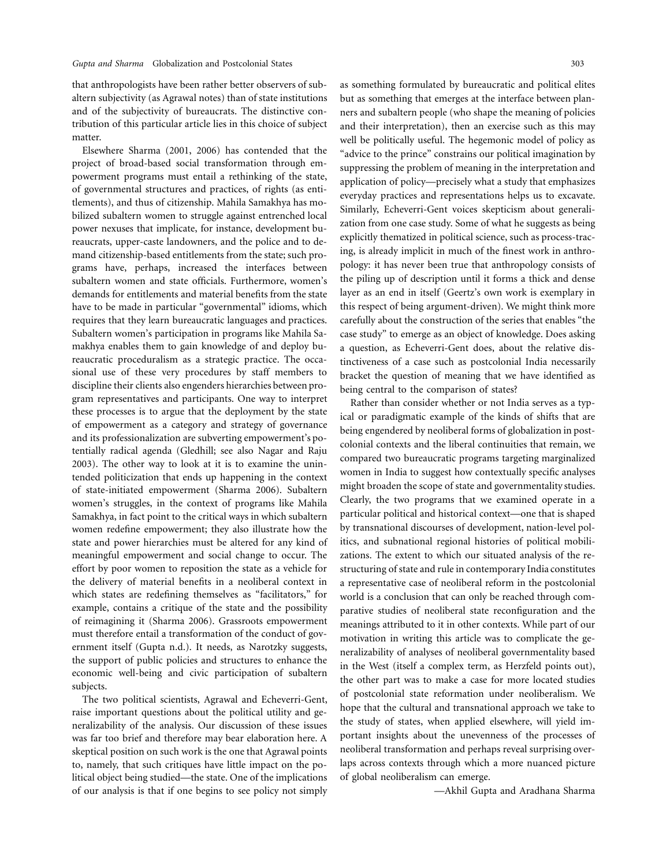that anthropologists have been rather better observers of subaltern subjectivity (as Agrawal notes) than of state institutions and of the subjectivity of bureaucrats. The distinctive contribution of this particular article lies in this choice of subject matter.

Elsewhere Sharma (2001, 2006) has contended that the project of broad-based social transformation through empowerment programs must entail a rethinking of the state, of governmental structures and practices, of rights (as entitlements), and thus of citizenship. Mahila Samakhya has mobilized subaltern women to struggle against entrenched local power nexuses that implicate, for instance, development bureaucrats, upper-caste landowners, and the police and to demand citizenship-based entitlements from the state; such programs have, perhaps, increased the interfaces between subaltern women and state officials. Furthermore, women's demands for entitlements and material benefits from the state have to be made in particular "governmental" idioms, which requires that they learn bureaucratic languages and practices. Subaltern women's participation in programs like Mahila Samakhya enables them to gain knowledge of and deploy bureaucratic proceduralism as a strategic practice. The occasional use of these very procedures by staff members to discipline their clients also engenders hierarchies between program representatives and participants. One way to interpret these processes is to argue that the deployment by the state of empowerment as a category and strategy of governance and its professionalization are subverting empowerment's potentially radical agenda (Gledhill; see also Nagar and Raju 2003). The other way to look at it is to examine the unintended politicization that ends up happening in the context of state-initiated empowerment (Sharma 2006). Subaltern women's struggles, in the context of programs like Mahila Samakhya, in fact point to the critical ways in which subaltern women redefine empowerment; they also illustrate how the state and power hierarchies must be altered for any kind of meaningful empowerment and social change to occur. The effort by poor women to reposition the state as a vehicle for the delivery of material benefits in a neoliberal context in which states are redefining themselves as "facilitators," for example, contains a critique of the state and the possibility of reimagining it (Sharma 2006). Grassroots empowerment must therefore entail a transformation of the conduct of government itself (Gupta n.d.). It needs, as Narotzky suggests, the support of public policies and structures to enhance the economic well-being and civic participation of subaltern subjects.

The two political scientists, Agrawal and Echeverri-Gent, raise important questions about the political utility and generalizability of the analysis. Our discussion of these issues was far too brief and therefore may bear elaboration here. A skeptical position on such work is the one that Agrawal points to, namely, that such critiques have little impact on the political object being studied—the state. One of the implications of our analysis is that if one begins to see policy not simply

as something formulated by bureaucratic and political elites but as something that emerges at the interface between planners and subaltern people (who shape the meaning of policies and their interpretation), then an exercise such as this may well be politically useful. The hegemonic model of policy as "advice to the prince" constrains our political imagination by suppressing the problem of meaning in the interpretation and application of policy—precisely what a study that emphasizes everyday practices and representations helps us to excavate. Similarly, Echeverri-Gent voices skepticism about generalization from one case study. Some of what he suggests as being explicitly thematized in political science, such as process-tracing, is already implicit in much of the finest work in anthropology: it has never been true that anthropology consists of the piling up of description until it forms a thick and dense layer as an end in itself (Geertz's own work is exemplary in this respect of being argument-driven). We might think more carefully about the construction of the series that enables "the case study" to emerge as an object of knowledge. Does asking a question, as Echeverri-Gent does, about the relative distinctiveness of a case such as postcolonial India necessarily bracket the question of meaning that we have identified as being central to the comparison of states?

Rather than consider whether or not India serves as a typical or paradigmatic example of the kinds of shifts that are being engendered by neoliberal forms of globalization in postcolonial contexts and the liberal continuities that remain, we compared two bureaucratic programs targeting marginalized women in India to suggest how contextually specific analyses might broaden the scope of state and governmentality studies. Clearly, the two programs that we examined operate in a particular political and historical context—one that is shaped by transnational discourses of development, nation-level politics, and subnational regional histories of political mobilizations. The extent to which our situated analysis of the restructuring of state and rule in contemporary India constitutes a representative case of neoliberal reform in the postcolonial world is a conclusion that can only be reached through comparative studies of neoliberal state reconfiguration and the meanings attributed to it in other contexts. While part of our motivation in writing this article was to complicate the generalizability of analyses of neoliberal governmentality based in the West (itself a complex term, as Herzfeld points out), the other part was to make a case for more located studies of postcolonial state reformation under neoliberalism. We hope that the cultural and transnational approach we take to the study of states, when applied elsewhere, will yield important insights about the unevenness of the processes of neoliberal transformation and perhaps reveal surprising overlaps across contexts through which a more nuanced picture of global neoliberalism can emerge.

—Akhil Gupta and Aradhana Sharma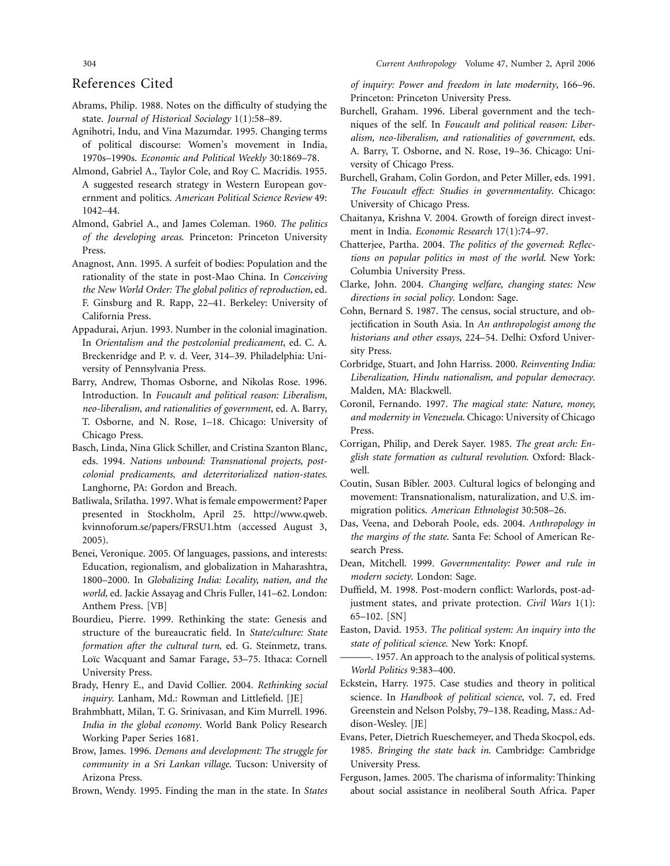### References Cited

- Abrams, Philip. 1988. Notes on the difficulty of studying the state. *Journal of Historical Sociology* 1(1):58–89.
- Agnihotri, Indu, and Vina Mazumdar. 1995. Changing terms of political discourse: Women's movement in India, 1970s–1990s. *Economic and Political Weekly* 30:1869–78.
- Almond, Gabriel A., Taylor Cole, and Roy C. Macridis. 1955. A suggested research strategy in Western European government and politics. *American Political Science Review* 49: 1042–44.
- Almond, Gabriel A., and James Coleman. 1960. *The politics of the developing areas*. Princeton: Princeton University Press.
- Anagnost, Ann. 1995. A surfeit of bodies: Population and the rationality of the state in post-Mao China. In *Conceiving the New World Order: The global politics of reproduction*, ed. F. Ginsburg and R. Rapp, 22–41. Berkeley: University of California Press.
- Appadurai, Arjun. 1993. Number in the colonial imagination. In *Orientalism and the postcolonial predicament*, ed. C. A. Breckenridge and P. v. d. Veer, 314–39. Philadelphia: University of Pennsylvania Press.
- Barry, Andrew, Thomas Osborne, and Nikolas Rose. 1996. Introduction. In *Foucault and political reason: Liberalism, neo-liberalism, and rationalities of government*, ed. A. Barry, T. Osborne, and N. Rose, 1–18. Chicago: University of Chicago Press.
- Basch, Linda, Nina Glick Schiller, and Cristina Szanton Blanc, eds. 1994. *Nations unbound: Transnational projects, postcolonial predicaments, and deterritorialized nation-states*. Langhorne, PA: Gordon and Breach.
- Batliwala, Srilatha. 1997. What is female empowerment? Paper presented in Stockholm, April 25. http://www.qweb. kvinnoforum.se/papers/FRSU1.htm (accessed August 3, 2005).
- Benei, Veronique. 2005. Of languages, passions, and interests: Education, regionalism, and globalization in Maharashtra, 1800–2000. In *Globalizing India: Locality, nation, and the world,* ed. Jackie Assayag and Chris Fuller, 141–62. London: Anthem Press. [VB]
- Bourdieu, Pierre. 1999. Rethinking the state: Genesis and structure of the bureaucratic field. In *State/culture: State formation after the cultural turn*, ed. G. Steinmetz, trans. Loïc Wacquant and Samar Farage, 53-75. Ithaca: Cornell University Press.
- Brady, Henry E., and David Collier. 2004. *Rethinking social inquiry*. Lanham, Md.: Rowman and Littlefield. [JE]
- Brahmbhatt, Milan, T. G. Srinivasan, and Kim Murrell. 1996. *India in the global economy*. World Bank Policy Research Working Paper Series 1681.
- Brow, James. 1996. *Demons and development: The struggle for community in a Sri Lankan village*. Tucson: University of Arizona Press.
- Brown, Wendy. 1995. Finding the man in the state. In *States*

*of inquiry: Power and freedom in late modernity*, 166–96. Princeton: Princeton University Press.

- Burchell, Graham. 1996. Liberal government and the techniques of the self. In *Foucault and political reason: Liberalism, neo-liberalism, and rationalities of government*, eds. A. Barry, T. Osborne, and N. Rose, 19–36. Chicago: University of Chicago Press.
- Burchell, Graham, Colin Gordon, and Peter Miller, eds. 1991. *The Foucault effect: Studies in governmentality*. Chicago: University of Chicago Press.
- Chaitanya, Krishna V. 2004. Growth of foreign direct investment in India. *Economic Research* 17(1):74–97.
- Chatterjee, Partha. 2004. *The politics of the governed*: *Reflections on popular politics in most of the world*. New York: Columbia University Press.
- Clarke, John. 2004. *Changing welfare, changing states: New directions in social policy*. London: Sage.
- Cohn, Bernard S. 1987. The census, social structure, and objectification in South Asia. In *An anthropologist among the historians and other essays*, 224–54. Delhi: Oxford University Press.
- Corbridge, Stuart, and John Harriss. 2000. *Reinventing India: Liberalization, Hindu nationalism, and popular democracy*. Malden, MA: Blackwell.
- Coronil, Fernando. 1997. *The magical state: Nature, money, and modernity in Venezuela*. Chicago: University of Chicago Press.
- Corrigan, Philip, and Derek Sayer. 1985. *The great arch: English state formation as cultural revolution*. Oxford: Blackwell.
- Coutin, Susan Bibler. 2003. Cultural logics of belonging and movement: Transnationalism, naturalization, and U.S. immigration politics. *American Ethnologist* 30:508–26.
- Das, Veena, and Deborah Poole, eds. 2004. *Anthropology in the margins of the state*. Santa Fe: School of American Research Press.
- Dean, Mitchell. 1999. *Governmentality: Power and rule in modern society*. London: Sage.
- Duffield, M. 1998. Post-modern conflict: Warlords, post-adjustment states, and private protection. *Civil Wars* 1(1): 65–102. [SN]
- Easton, David. 1953. *The political system: An inquiry into the state of political science*. New York: Knopf.
- ———. 1957. An approach to the analysis of political systems. *World Politics* 9:383–400.
- Eckstein, Harry. 1975. Case studies and theory in political science. In *Handbook of political science*, vol. 7, ed. Fred Greenstein and Nelson Polsby, 79–138. Reading, Mass.: Addison-Wesley. [JE]
- Evans, Peter, Dietrich Rueschemeyer, and Theda Skocpol, eds. 1985. *Bringing the state back in*. Cambridge: Cambridge University Press.
- Ferguson, James. 2005. The charisma of informality: Thinking about social assistance in neoliberal South Africa. Paper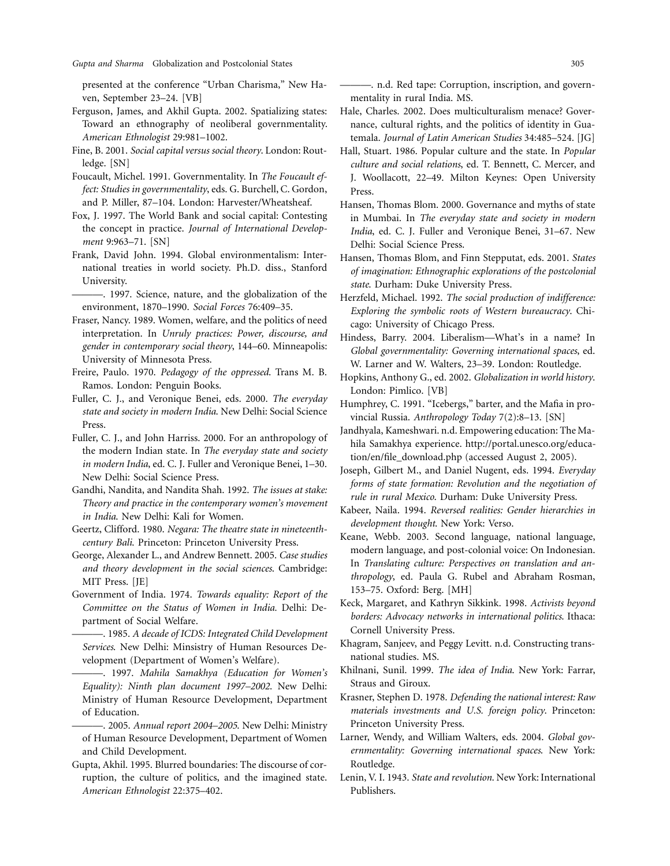*Gupta and Sharma* Globalization and Postcolonial States 305

presented at the conference "Urban Charisma," New Haven, September 23–24. [VB]

- Ferguson, James, and Akhil Gupta. 2002. Spatializing states: Toward an ethnography of neoliberal governmentality. *American Ethnologist* 29:981–1002.
- Fine, B. 2001. *Social capital versus social theory*. London: Routledge. [SN]
- Foucault, Michel. 1991. Governmentality. In *The Foucault effect: Studies in governmentality*, eds. G. Burchell, C. Gordon, and P. Miller, 87–104. London: Harvester/Wheatsheaf.
- Fox, J. 1997. The World Bank and social capital: Contesting the concept in practice. *Journal of International Development* 9:963–71. [SN]
- Frank, David John. 1994. Global environmentalism: International treaties in world society. Ph.D. diss., Stanford University.
- -. 1997. Science, nature, and the globalization of the environment, 1870–1990. *Social Forces* 76:409–35.
- Fraser, Nancy. 1989. Women, welfare, and the politics of need interpretation. In *Unruly practices: Power, discourse, and gender in contemporary social theory*, 144–60. Minneapolis: University of Minnesota Press.
- Freire, Paulo. 1970. *Pedagogy of the oppressed*. Trans M. B. Ramos. London: Penguin Books.
- Fuller, C. J., and Veronique Benei, eds. 2000. *The everyday state and society in modern India*. New Delhi: Social Science Press.
- Fuller, C. J., and John Harriss. 2000. For an anthropology of the modern Indian state. In *The everyday state and society in modern India*, ed. C. J. Fuller and Veronique Benei, 1–30. New Delhi: Social Science Press.
- Gandhi, Nandita, and Nandita Shah. 1992. *The issues at stake: Theory and practice in the contemporary women's movement in India*. New Delhi: Kali for Women.
- Geertz, Clifford. 1980. *Negara: The theatre state in nineteenthcentury Bali*. Princeton: Princeton University Press.
- George, Alexander L., and Andrew Bennett. 2005. *Case studies and theory development in the social sciences*. Cambridge: MIT Press. [JE]
- Government of India. 1974. *Towards equality: Report of the Committee on the Status of Women in India.* Delhi: Department of Social Welfare.
- ———. 1985. *A decade of ICDS: Integrated Child Development Services*. New Delhi: Minsistry of Human Resources Development (Department of Women's Welfare).
- ———. 1997. *Mahila Samakhya (Education for Women's Equality): Ninth plan document 1997–2002*. New Delhi: Ministry of Human Resource Development, Department of Education.
- ———. 2005. *Annual report 2004–2005*. New Delhi: Ministry of Human Resource Development, Department of Women and Child Development.
- Gupta, Akhil. 1995. Blurred boundaries: The discourse of corruption, the culture of politics, and the imagined state. *American Ethnologist* 22:375–402.

———. n.d. Red tape: Corruption, inscription, and governmentality in rural India. MS.

- Hale, Charles. 2002. Does multiculturalism menace? Governance, cultural rights, and the politics of identity in Guatemala. *Journal of Latin American Studies* 34:485–524. [JG]
- Hall, Stuart. 1986. Popular culture and the state. In *Popular culture and social relations*, ed. T. Bennett, C. Mercer, and J. Woollacott, 22–49. Milton Keynes: Open University Press.
- Hansen, Thomas Blom. 2000. Governance and myths of state in Mumbai. In *The everyday state and society in modern India*, ed. C. J. Fuller and Veronique Benei, 31–67. New Delhi: Social Science Press.
- Hansen, Thomas Blom, and Finn Stepputat, eds. 2001. *States of imagination: Ethnographic explorations of the postcolonial state*. Durham: Duke University Press.
- Herzfeld, Michael. 1992. *The social production of indifference: Exploring the symbolic roots of Western bureaucracy*. Chicago: University of Chicago Press.
- Hindess, Barry. 2004. Liberalism—What's in a name? In *Global governmentality: Governing international spaces*, ed. W. Larner and W. Walters, 23–39. London: Routledge.
- Hopkins, Anthony G., ed. 2002. *Globalization in world history*. London: Pimlico. [VB]
- Humphrey, C. 1991. "Icebergs," barter, and the Mafia in provincial Russia. *Anthropology Today* 7(2):8–13. [SN]
- Jandhyala, Kameshwari. n.d. Empowering education: The Mahila Samakhya experience. http://portal.unesco.org/education/en/file\_download.php (accessed August 2, 2005).
- Joseph, Gilbert M., and Daniel Nugent, eds. 1994. *Everyday forms of state formation: Revolution and the negotiation of rule in rural Mexico*. Durham: Duke University Press.
- Kabeer, Naila. 1994. *Reversed realities: Gender hierarchies in development thought*. New York: Verso.
- Keane, Webb. 2003. Second language, national language, modern language, and post-colonial voice: On Indonesian. In *Translating culture: Perspectives on translation and anthropology*, ed. Paula G. Rubel and Abraham Rosman, 153–75. Oxford: Berg. [MH]
- Keck, Margaret, and Kathryn Sikkink. 1998. *Activists beyond borders: Advocacy networks in international politics*. Ithaca: Cornell University Press.
- Khagram, Sanjeev, and Peggy Levitt. n.d. Constructing transnational studies. MS.
- Khilnani, Sunil. 1999. *The idea of India*. New York: Farrar, Straus and Giroux.
- Krasner, Stephen D. 1978. *Defending the national interest: Raw materials investments and U.S. foreign policy*. Princeton: Princeton University Press.
- Larner, Wendy, and William Walters, eds. 2004. *Global governmentality: Governing international spaces*. New York: Routledge.
- Lenin, V. I. 1943. *State and revolution*. New York: International Publishers.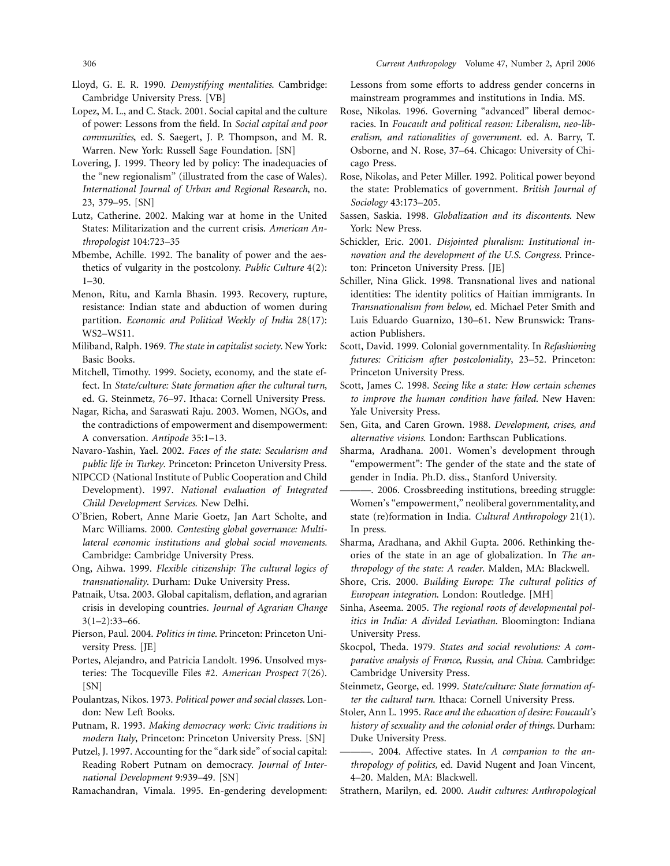- Lloyd, G. E. R. 1990. *Demystifying mentalities*. Cambridge: Cambridge University Press. [VB]
- Lopez, M. L., and C. Stack. 2001. Social capital and the culture of power: Lessons from the field. In *Social capital and poor communities*, ed. S. Saegert, J. P. Thompson, and M. R. Warren. New York: Russell Sage Foundation. [SN]
- Lovering, J. 1999. Theory led by policy: The inadequacies of the "new regionalism" (illustrated from the case of Wales). *International Journal of Urban and Regional Research*, no. 23, 379–95. [SN]
- Lutz, Catherine. 2002. Making war at home in the United States: Militarization and the current crisis. *American Anthropologist* 104:723–35
- Mbembe, Achille. 1992. The banality of power and the aesthetics of vulgarity in the postcolony. *Public Culture* 4(2): 1–30.
- Menon, Ritu, and Kamla Bhasin. 1993. Recovery, rupture, resistance: Indian state and abduction of women during partition. *Economic and Political Weekly of India* 28(17): WS2–WS11.
- Miliband, Ralph. 1969. *The state in capitalist society*. New York: Basic Books.
- Mitchell, Timothy. 1999. Society, economy, and the state effect. In *State/culture: State formation after the cultural turn*, ed. G. Steinmetz, 76–97. Ithaca: Cornell University Press.
- Nagar, Richa, and Saraswati Raju. 2003. Women, NGOs, and the contradictions of empowerment and disempowerment: A conversation. *Antipode* 35:1–13.
- Navaro-Yashin, Yael. 2002. *Faces of the state: Secularism and public life in Turkey*. Princeton: Princeton University Press.
- NIPCCD (National Institute of Public Cooperation and Child Development). 1997. *National evaluation of Integrated Child Development Services*. New Delhi.
- O'Brien, Robert, Anne Marie Goetz, Jan Aart Scholte, and Marc Williams. 2000. *Contesting global governance: Multilateral economic institutions and global social movements.* Cambridge: Cambridge University Press.
- Ong, Aihwa. 1999. *Flexible citizenship: The cultural logics of transnationality*. Durham: Duke University Press.
- Patnaik, Utsa. 2003. Global capitalism, deflation, and agrarian crisis in developing countries. *Journal of Agrarian Change*  $3(1-2):33-66.$
- Pierson, Paul. 2004. *Politics in time*. Princeton: Princeton University Press. [JE]
- Portes, Alejandro, and Patricia Landolt. 1996. Unsolved mysteries: The Tocqueville Files #2. *American Prospect* 7(26).  $[SN]$
- Poulantzas, Nikos. 1973. *Political power and social classes*. London: New Left Books.
- Putnam, R. 1993. *Making democracy work: Civic traditions in modern Italy*, Princeton: Princeton University Press. [SN]
- Putzel, J. 1997. Accounting for the "dark side" of social capital: Reading Robert Putnam on democracy. *Journal of International Development* 9:939–49. [SN]

Ramachandran, Vimala. 1995. En-gendering development:

Lessons from some efforts to address gender concerns in mainstream programmes and institutions in India. MS.

- Rose, Nikolas. 1996. Governing "advanced" liberal democracies. In *Foucault and political reason: Liberalism, neo-liberalism, and rationalities of government*. ed. A. Barry, T. Osborne, and N. Rose, 37–64. Chicago: University of Chicago Press.
- Rose, Nikolas, and Peter Miller. 1992. Political power beyond the state: Problematics of government. *British Journal of Sociology* 43:173–205.
- Sassen, Saskia. 1998. *Globalization and its discontents*. New York: New Press.
- Schickler, Eric. 2001. *Disjointed pluralism: Institutional innovation and the development of the U.S. Congress*. Princeton: Princeton University Press. [JE]
- Schiller, Nina Glick. 1998. Transnational lives and national identities: The identity politics of Haitian immigrants. In *Transnationalism from below,* ed. Michael Peter Smith and Luis Eduardo Guarnizo, 130–61. New Brunswick: Transaction Publishers.
- Scott, David. 1999. Colonial governmentality. In *Refashioning futures: Criticism after postcoloniality*, 23–52. Princeton: Princeton University Press.
- Scott, James C. 1998. *Seeing like a state: How certain schemes to improve the human condition have failed*. New Haven: Yale University Press.
- Sen, Gita, and Caren Grown. 1988. *Development, crises, and alternative visions*. London: Earthscan Publications.
- Sharma, Aradhana. 2001. Women's development through "empowerment": The gender of the state and the state of gender in India. Ph.D. diss., Stanford University.
- -. 2006. Crossbreeding institutions, breeding struggle: Women's "empowerment," neoliberal governmentality,and state (re)formation in India. *Cultural Anthropology* 21(1). In press.
- Sharma, Aradhana, and Akhil Gupta. 2006. Rethinking theories of the state in an age of globalization. In *The anthropology of the state: A reader*. Malden, MA: Blackwell.
- Shore, Cris. 2000. *Building Europe: The cultural politics of European integration*. London: Routledge. [MH]
- Sinha, Aseema. 2005. *The regional roots of developmental politics in India: A divided Leviathan*. Bloomington: Indiana University Press.
- Skocpol, Theda. 1979. *States and social revolutions: A comparative analysis of France, Russia, and China*. Cambridge: Cambridge University Press.
- Steinmetz, George, ed. 1999. *State/culture: State formation after the cultural turn*. Ithaca: Cornell University Press.
- Stoler, Ann L. 1995. *Race and the education of desire: Foucault's history of sexuality and the colonial order of things*. Durham: Duke University Press.
- ———. 2004. Affective states. In *A companion to the anthropology of politics,* ed. David Nugent and Joan Vincent, 4–20. Malden, MA: Blackwell.
- Strathern, Marilyn, ed. 2000. *Audit cultures: Anthropological*